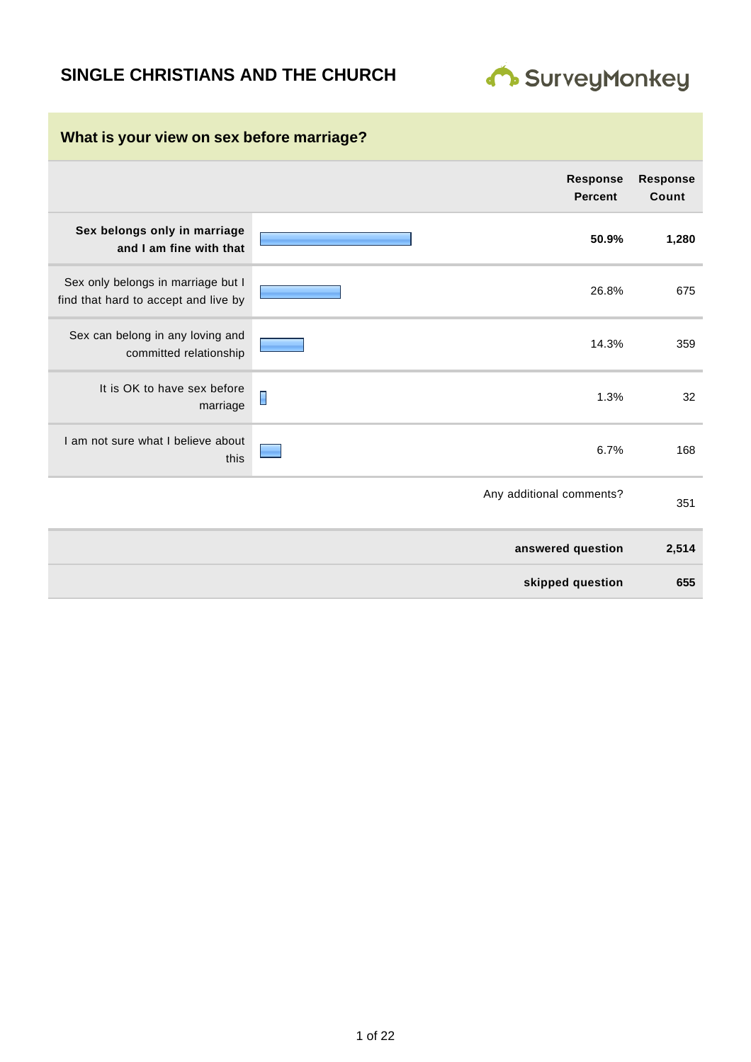# **SINGLE CHRISTIANS AND THE CHURCH**



| What is your view on sex before marriage?                                  |                                   |                          |  |  |  |
|----------------------------------------------------------------------------|-----------------------------------|--------------------------|--|--|--|
|                                                                            | <b>Response</b><br><b>Percent</b> | <b>Response</b><br>Count |  |  |  |
| Sex belongs only in marriage<br>and I am fine with that                    | 50.9%                             | 1,280                    |  |  |  |
| Sex only belongs in marriage but I<br>find that hard to accept and live by | 26.8%                             | 675                      |  |  |  |
| Sex can belong in any loving and<br>committed relationship                 | 14.3%                             | 359                      |  |  |  |
| It is OK to have sex before<br>marriage                                    | 1.3%                              | 32                       |  |  |  |
| I am not sure what I believe about<br>this                                 | 6.7%                              | 168                      |  |  |  |
|                                                                            | Any additional comments?          | 351                      |  |  |  |
|                                                                            | answered question                 | 2,514                    |  |  |  |
|                                                                            | skipped question                  | 655                      |  |  |  |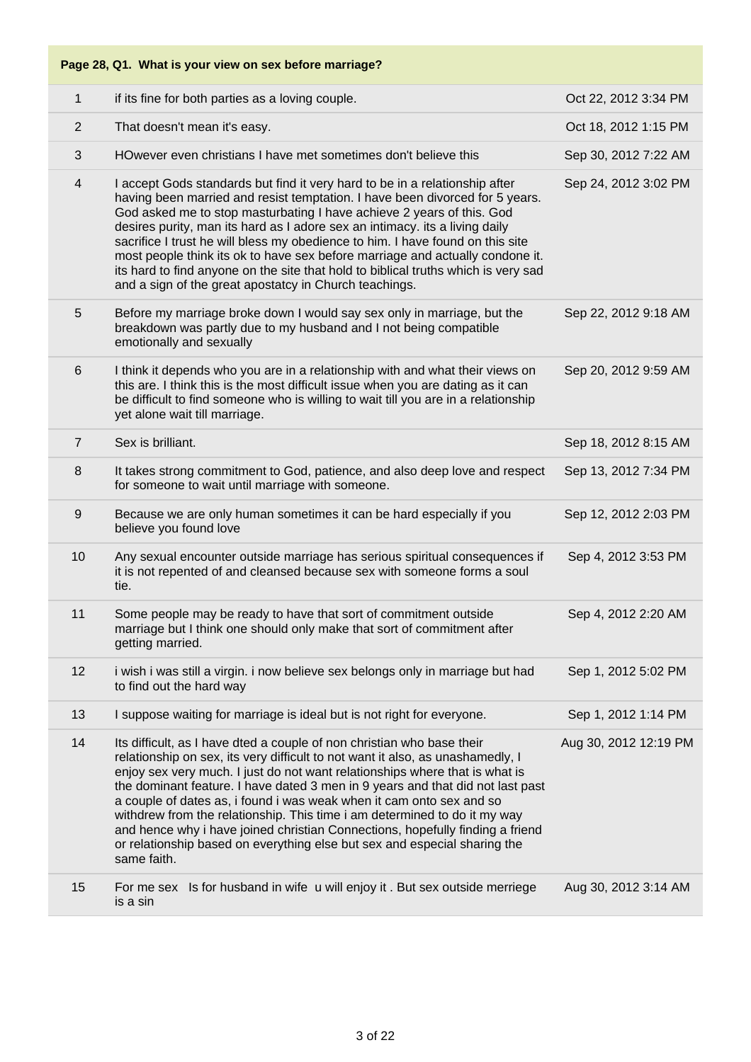| $\mathbf{1}$   | if its fine for both parties as a loving couple.                                                                                                                                                                                                                                                                                                                                                                                                                                                                                                                                                                                                            | Oct 22, 2012 3:34 PM  |
|----------------|-------------------------------------------------------------------------------------------------------------------------------------------------------------------------------------------------------------------------------------------------------------------------------------------------------------------------------------------------------------------------------------------------------------------------------------------------------------------------------------------------------------------------------------------------------------------------------------------------------------------------------------------------------------|-----------------------|
| 2              | That doesn't mean it's easy.                                                                                                                                                                                                                                                                                                                                                                                                                                                                                                                                                                                                                                | Oct 18, 2012 1:15 PM  |
| 3              | HOwever even christians I have met sometimes don't believe this                                                                                                                                                                                                                                                                                                                                                                                                                                                                                                                                                                                             | Sep 30, 2012 7:22 AM  |
| 4              | I accept Gods standards but find it very hard to be in a relationship after<br>having been married and resist temptation. I have been divorced for 5 years.<br>God asked me to stop masturbating I have achieve 2 years of this. God<br>desires purity, man its hard as I adore sex an intimacy. its a living daily<br>sacrifice I trust he will bless my obedience to him. I have found on this site<br>most people think its ok to have sex before marriage and actually condone it.<br>its hard to find anyone on the site that hold to biblical truths which is very sad<br>and a sign of the great apostatcy in Church teachings.                      | Sep 24, 2012 3:02 PM  |
| 5              | Before my marriage broke down I would say sex only in marriage, but the<br>breakdown was partly due to my husband and I not being compatible<br>emotionally and sexually                                                                                                                                                                                                                                                                                                                                                                                                                                                                                    | Sep 22, 2012 9:18 AM  |
| 6              | I think it depends who you are in a relationship with and what their views on<br>this are. I think this is the most difficult issue when you are dating as it can<br>be difficult to find someone who is willing to wait till you are in a relationship<br>yet alone wait till marriage.                                                                                                                                                                                                                                                                                                                                                                    | Sep 20, 2012 9:59 AM  |
| $\overline{7}$ | Sex is brilliant.                                                                                                                                                                                                                                                                                                                                                                                                                                                                                                                                                                                                                                           | Sep 18, 2012 8:15 AM  |
| 8              | It takes strong commitment to God, patience, and also deep love and respect<br>for someone to wait until marriage with someone.                                                                                                                                                                                                                                                                                                                                                                                                                                                                                                                             | Sep 13, 2012 7:34 PM  |
| $9\,$          | Because we are only human sometimes it can be hard especially if you<br>believe you found love                                                                                                                                                                                                                                                                                                                                                                                                                                                                                                                                                              | Sep 12, 2012 2:03 PM  |
| 10             | Any sexual encounter outside marriage has serious spiritual consequences if<br>it is not repented of and cleansed because sex with someone forms a soul<br>tie.                                                                                                                                                                                                                                                                                                                                                                                                                                                                                             | Sep 4, 2012 3:53 PM   |
| 11             | Some people may be ready to have that sort of commitment outside<br>marriage but I think one should only make that sort of commitment after<br>getting married.                                                                                                                                                                                                                                                                                                                                                                                                                                                                                             | Sep 4, 2012 2:20 AM   |
| 12             | i wish i was still a virgin. i now believe sex belongs only in marriage but had<br>to find out the hard way                                                                                                                                                                                                                                                                                                                                                                                                                                                                                                                                                 | Sep 1, 2012 5:02 PM   |
| 13             | I suppose waiting for marriage is ideal but is not right for everyone.                                                                                                                                                                                                                                                                                                                                                                                                                                                                                                                                                                                      | Sep 1, 2012 1:14 PM   |
| 14             | Its difficult, as I have dted a couple of non christian who base their<br>relationship on sex, its very difficult to not want it also, as unashamedly, I<br>enjoy sex very much. I just do not want relationships where that is what is<br>the dominant feature. I have dated 3 men in 9 years and that did not last past<br>a couple of dates as, i found i was weak when it cam onto sex and so<br>withdrew from the relationship. This time i am determined to do it my way<br>and hence why i have joined christian Connections, hopefully finding a friend<br>or relationship based on everything else but sex and especial sharing the<br>same faith. | Aug 30, 2012 12:19 PM |
| 15             | For me sex Is for husband in wife u will enjoy it . But sex outside merriege<br>is a sin                                                                                                                                                                                                                                                                                                                                                                                                                                                                                                                                                                    | Aug 30, 2012 3:14 AM  |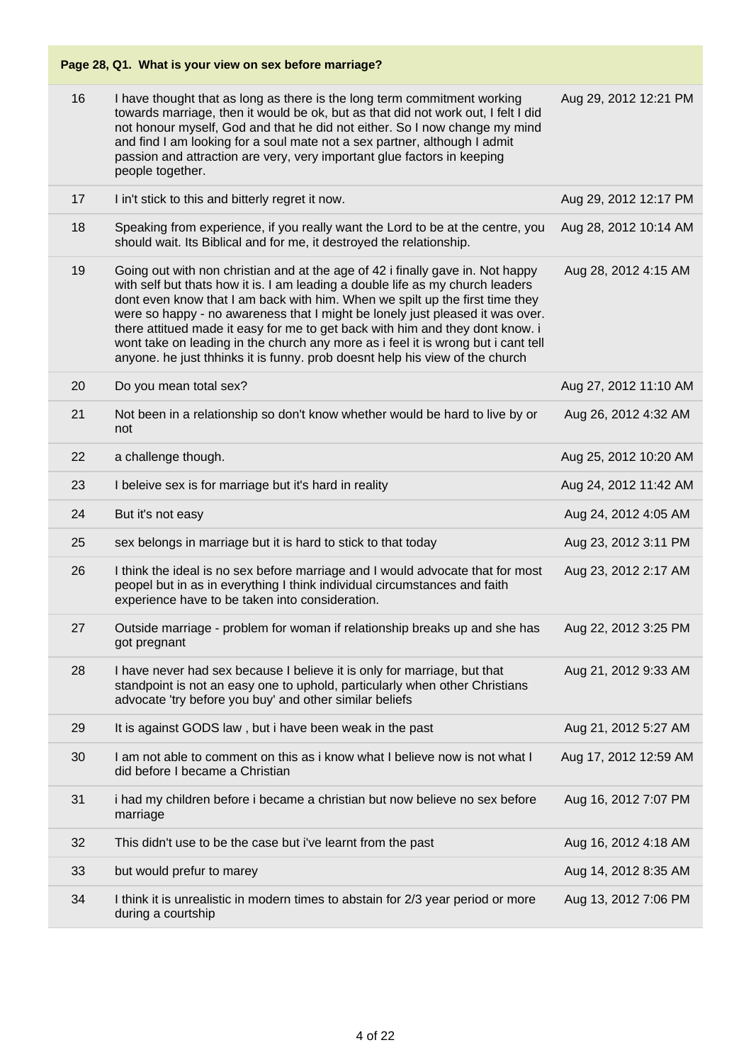| 16 | I have thought that as long as there is the long term commitment working<br>towards marriage, then it would be ok, but as that did not work out, I felt I did<br>not honour myself, God and that he did not either. So I now change my mind<br>and find I am looking for a soul mate not a sex partner, although I admit<br>passion and attraction are very, very important glue factors in keeping<br>people together.                                                                                                                                                                 | Aug 29, 2012 12:21 PM |
|----|-----------------------------------------------------------------------------------------------------------------------------------------------------------------------------------------------------------------------------------------------------------------------------------------------------------------------------------------------------------------------------------------------------------------------------------------------------------------------------------------------------------------------------------------------------------------------------------------|-----------------------|
| 17 | I in't stick to this and bitterly regret it now.                                                                                                                                                                                                                                                                                                                                                                                                                                                                                                                                        | Aug 29, 2012 12:17 PM |
| 18 | Speaking from experience, if you really want the Lord to be at the centre, you<br>should wait. Its Biblical and for me, it destroyed the relationship.                                                                                                                                                                                                                                                                                                                                                                                                                                  | Aug 28, 2012 10:14 AM |
| 19 | Going out with non christian and at the age of 42 i finally gave in. Not happy<br>with self but thats how it is. I am leading a double life as my church leaders<br>dont even know that I am back with him. When we spilt up the first time they<br>were so happy - no awareness that I might be lonely just pleased it was over.<br>there attitued made it easy for me to get back with him and they dont know. i<br>wont take on leading in the church any more as i feel it is wrong but i cant tell<br>anyone. he just thhinks it is funny. prob doesnt help his view of the church | Aug 28, 2012 4:15 AM  |
| 20 | Do you mean total sex?                                                                                                                                                                                                                                                                                                                                                                                                                                                                                                                                                                  | Aug 27, 2012 11:10 AM |
| 21 | Not been in a relationship so don't know whether would be hard to live by or<br>not                                                                                                                                                                                                                                                                                                                                                                                                                                                                                                     | Aug 26, 2012 4:32 AM  |
| 22 | a challenge though.                                                                                                                                                                                                                                                                                                                                                                                                                                                                                                                                                                     | Aug 25, 2012 10:20 AM |
| 23 | I beleive sex is for marriage but it's hard in reality                                                                                                                                                                                                                                                                                                                                                                                                                                                                                                                                  | Aug 24, 2012 11:42 AM |
| 24 | But it's not easy                                                                                                                                                                                                                                                                                                                                                                                                                                                                                                                                                                       | Aug 24, 2012 4:05 AM  |
| 25 | sex belongs in marriage but it is hard to stick to that today                                                                                                                                                                                                                                                                                                                                                                                                                                                                                                                           | Aug 23, 2012 3:11 PM  |
| 26 | I think the ideal is no sex before marriage and I would advocate that for most<br>peopel but in as in everything I think individual circumstances and faith<br>experience have to be taken into consideration.                                                                                                                                                                                                                                                                                                                                                                          | Aug 23, 2012 2:17 AM  |
| 27 | Outside marriage - problem for woman if relationship breaks up and she has<br>got pregnant                                                                                                                                                                                                                                                                                                                                                                                                                                                                                              | Aug 22, 2012 3:25 PM  |
| 28 | I have never had sex because I believe it is only for marriage, but that<br>standpoint is not an easy one to uphold, particularly when other Christians<br>advocate 'try before you buy' and other similar beliefs                                                                                                                                                                                                                                                                                                                                                                      | Aug 21, 2012 9:33 AM  |
| 29 | It is against GODS law, but i have been weak in the past                                                                                                                                                                                                                                                                                                                                                                                                                                                                                                                                | Aug 21, 2012 5:27 AM  |
| 30 | I am not able to comment on this as i know what I believe now is not what I<br>did before I became a Christian                                                                                                                                                                                                                                                                                                                                                                                                                                                                          | Aug 17, 2012 12:59 AM |
| 31 | i had my children before i became a christian but now believe no sex before<br>marriage                                                                                                                                                                                                                                                                                                                                                                                                                                                                                                 | Aug 16, 2012 7:07 PM  |
| 32 | This didn't use to be the case but i've learnt from the past                                                                                                                                                                                                                                                                                                                                                                                                                                                                                                                            | Aug 16, 2012 4:18 AM  |
| 33 | but would prefur to marey                                                                                                                                                                                                                                                                                                                                                                                                                                                                                                                                                               | Aug 14, 2012 8:35 AM  |
| 34 | I think it is unrealistic in modern times to abstain for 2/3 year period or more<br>during a courtship                                                                                                                                                                                                                                                                                                                                                                                                                                                                                  | Aug 13, 2012 7:06 PM  |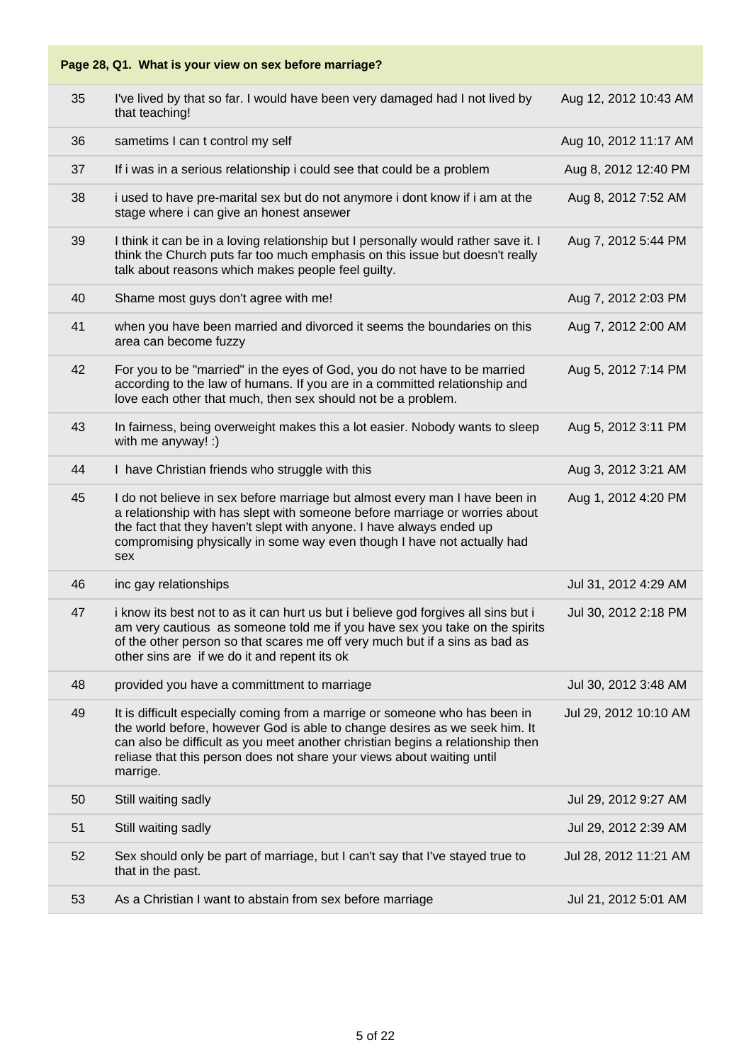| 35 | I've lived by that so far. I would have been very damaged had I not lived by<br>that teaching!                                                                                                                                                                                                                                    | Aug 12, 2012 10:43 AM |
|----|-----------------------------------------------------------------------------------------------------------------------------------------------------------------------------------------------------------------------------------------------------------------------------------------------------------------------------------|-----------------------|
| 36 | sametims I can t control my self                                                                                                                                                                                                                                                                                                  | Aug 10, 2012 11:17 AM |
| 37 | If i was in a serious relationship i could see that could be a problem                                                                                                                                                                                                                                                            | Aug 8, 2012 12:40 PM  |
| 38 | i used to have pre-marital sex but do not anymore i dont know if i am at the<br>stage where i can give an honest ansewer                                                                                                                                                                                                          | Aug 8, 2012 7:52 AM   |
| 39 | I think it can be in a loving relationship but I personally would rather save it. I<br>think the Church puts far too much emphasis on this issue but doesn't really<br>talk about reasons which makes people feel guilty.                                                                                                         | Aug 7, 2012 5:44 PM   |
| 40 | Shame most guys don't agree with me!                                                                                                                                                                                                                                                                                              | Aug 7, 2012 2:03 PM   |
| 41 | when you have been married and divorced it seems the boundaries on this<br>area can become fuzzy                                                                                                                                                                                                                                  | Aug 7, 2012 2:00 AM   |
| 42 | For you to be "married" in the eyes of God, you do not have to be married<br>according to the law of humans. If you are in a committed relationship and<br>love each other that much, then sex should not be a problem.                                                                                                           | Aug 5, 2012 7:14 PM   |
| 43 | In fairness, being overweight makes this a lot easier. Nobody wants to sleep<br>with me anyway! :)                                                                                                                                                                                                                                | Aug 5, 2012 3:11 PM   |
| 44 | I have Christian friends who struggle with this                                                                                                                                                                                                                                                                                   | Aug 3, 2012 3:21 AM   |
| 45 | I do not believe in sex before marriage but almost every man I have been in<br>a relationship with has slept with someone before marriage or worries about<br>the fact that they haven't slept with anyone. I have always ended up<br>compromising physically in some way even though I have not actually had<br>sex              | Aug 1, 2012 4:20 PM   |
| 46 | inc gay relationships                                                                                                                                                                                                                                                                                                             | Jul 31, 2012 4:29 AM  |
| 47 | i know its best not to as it can hurt us but i believe god forgives all sins but i<br>am very cautious as someone told me if you have sex you take on the spirits<br>of the other person so that scares me off very much but if a sins as bad as<br>other sins are if we do it and repent its ok                                  | Jul 30, 2012 2:18 PM  |
| 48 | provided you have a committment to marriage                                                                                                                                                                                                                                                                                       | Jul 30, 2012 3:48 AM  |
| 49 | It is difficult especially coming from a marrige or someone who has been in<br>the world before, however God is able to change desires as we seek him. It<br>can also be difficult as you meet another christian begins a relationship then<br>reliase that this person does not share your views about waiting until<br>marrige. | Jul 29, 2012 10:10 AM |
| 50 | Still waiting sadly                                                                                                                                                                                                                                                                                                               | Jul 29, 2012 9:27 AM  |
| 51 | Still waiting sadly                                                                                                                                                                                                                                                                                                               | Jul 29, 2012 2:39 AM  |
| 52 | Sex should only be part of marriage, but I can't say that I've stayed true to<br>that in the past.                                                                                                                                                                                                                                | Jul 28, 2012 11:21 AM |
| 53 | As a Christian I want to abstain from sex before marriage                                                                                                                                                                                                                                                                         | Jul 21, 2012 5:01 AM  |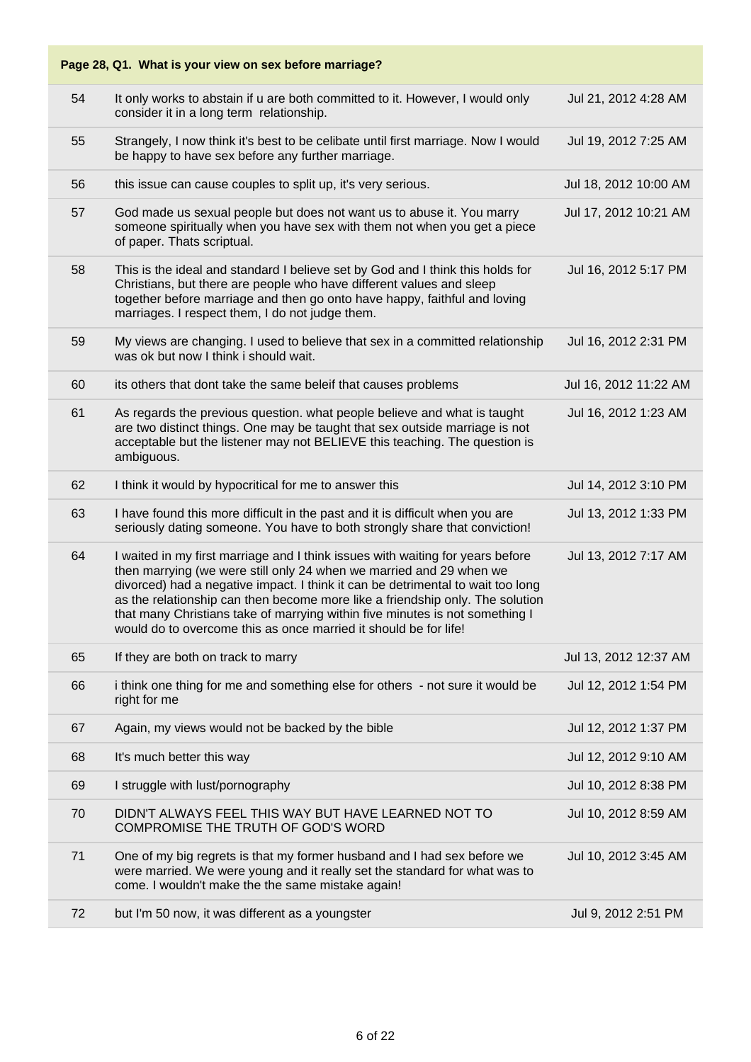| Page 28, Q1. What is your view on sex before marriage? |                                                                                                                                                                                                                                                                                                                                                                                                                                                                               |                       |  |
|--------------------------------------------------------|-------------------------------------------------------------------------------------------------------------------------------------------------------------------------------------------------------------------------------------------------------------------------------------------------------------------------------------------------------------------------------------------------------------------------------------------------------------------------------|-----------------------|--|
| 54                                                     | It only works to abstain if u are both committed to it. However, I would only<br>consider it in a long term relationship.                                                                                                                                                                                                                                                                                                                                                     | Jul 21, 2012 4:28 AM  |  |
| 55                                                     | Strangely, I now think it's best to be celibate until first marriage. Now I would<br>be happy to have sex before any further marriage.                                                                                                                                                                                                                                                                                                                                        | Jul 19, 2012 7:25 AM  |  |
| 56                                                     | this issue can cause couples to split up, it's very serious.                                                                                                                                                                                                                                                                                                                                                                                                                  | Jul 18, 2012 10:00 AM |  |
| 57                                                     | God made us sexual people but does not want us to abuse it. You marry<br>someone spiritually when you have sex with them not when you get a piece<br>of paper. Thats scriptual.                                                                                                                                                                                                                                                                                               | Jul 17, 2012 10:21 AM |  |
| 58                                                     | This is the ideal and standard I believe set by God and I think this holds for<br>Christians, but there are people who have different values and sleep<br>together before marriage and then go onto have happy, faithful and loving<br>marriages. I respect them, I do not judge them.                                                                                                                                                                                        | Jul 16, 2012 5:17 PM  |  |
| 59                                                     | My views are changing. I used to believe that sex in a committed relationship<br>was ok but now I think i should wait.                                                                                                                                                                                                                                                                                                                                                        | Jul 16, 2012 2:31 PM  |  |
| 60                                                     | its others that dont take the same beleif that causes problems                                                                                                                                                                                                                                                                                                                                                                                                                | Jul 16, 2012 11:22 AM |  |
| 61                                                     | As regards the previous question. what people believe and what is taught<br>are two distinct things. One may be taught that sex outside marriage is not<br>acceptable but the listener may not BELIEVE this teaching. The question is<br>ambiguous.                                                                                                                                                                                                                           | Jul 16, 2012 1:23 AM  |  |
| 62                                                     | I think it would by hypocritical for me to answer this                                                                                                                                                                                                                                                                                                                                                                                                                        | Jul 14, 2012 3:10 PM  |  |
| 63                                                     | I have found this more difficult in the past and it is difficult when you are<br>seriously dating someone. You have to both strongly share that conviction!                                                                                                                                                                                                                                                                                                                   | Jul 13, 2012 1:33 PM  |  |
| 64                                                     | I waited in my first marriage and I think issues with waiting for years before<br>then marrying (we were still only 24 when we married and 29 when we<br>divorced) had a negative impact. I think it can be detrimental to wait too long<br>as the relationship can then become more like a friendship only. The solution<br>that many Christians take of marrying within five minutes is not something I<br>would do to overcome this as once married it should be for life! | Jul 13, 2012 7:17 AM  |  |
| 65                                                     | If they are both on track to marry                                                                                                                                                                                                                                                                                                                                                                                                                                            | Jul 13, 2012 12:37 AM |  |
| 66                                                     | i think one thing for me and something else for others - not sure it would be<br>right for me                                                                                                                                                                                                                                                                                                                                                                                 | Jul 12, 2012 1:54 PM  |  |
| 67                                                     | Again, my views would not be backed by the bible                                                                                                                                                                                                                                                                                                                                                                                                                              | Jul 12, 2012 1:37 PM  |  |
| 68                                                     | It's much better this way                                                                                                                                                                                                                                                                                                                                                                                                                                                     | Jul 12, 2012 9:10 AM  |  |
| 69                                                     | I struggle with lust/pornography                                                                                                                                                                                                                                                                                                                                                                                                                                              | Jul 10, 2012 8:38 PM  |  |
| 70                                                     | DIDN'T ALWAYS FEEL THIS WAY BUT HAVE LEARNED NOT TO<br>COMPROMISE THE TRUTH OF GOD'S WORD                                                                                                                                                                                                                                                                                                                                                                                     | Jul 10, 2012 8:59 AM  |  |
| 71                                                     | One of my big regrets is that my former husband and I had sex before we<br>were married. We were young and it really set the standard for what was to<br>come. I wouldn't make the the same mistake again!                                                                                                                                                                                                                                                                    | Jul 10, 2012 3:45 AM  |  |
| 72                                                     | but I'm 50 now, it was different as a youngster                                                                                                                                                                                                                                                                                                                                                                                                                               | Jul 9, 2012 2:51 PM   |  |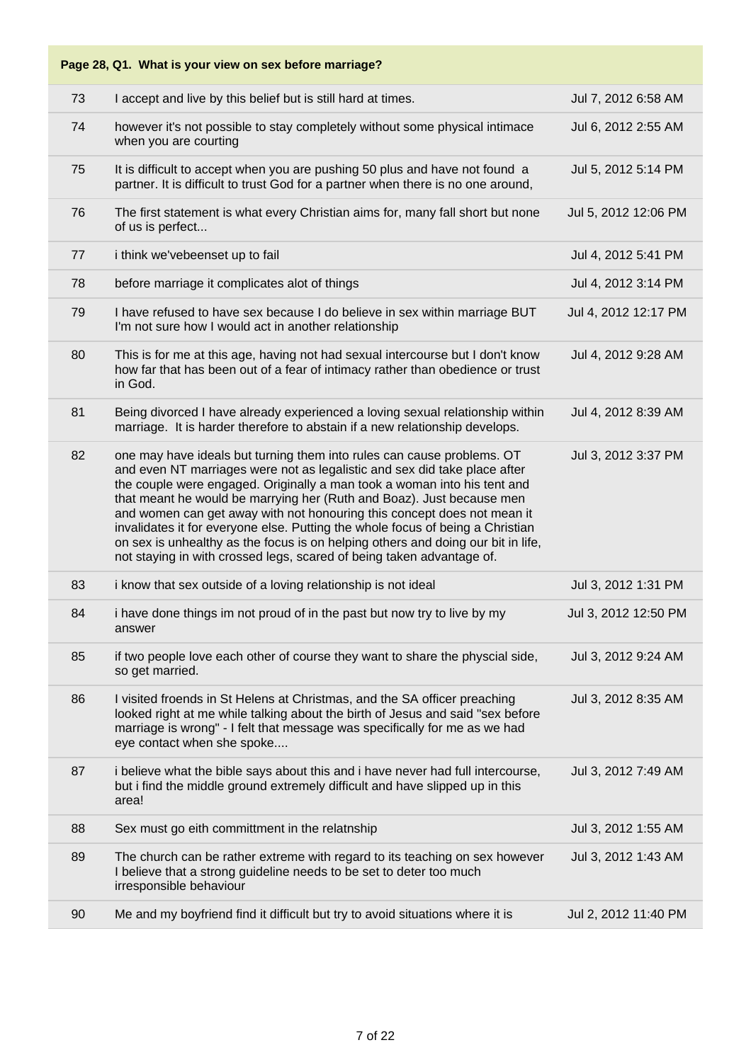| Page 28, Q1. What is your view on sex before marriage? |                                                                                                                                                                                                                                                                                                                                                                                                                                                                                                                                                                                                                                    |                      |  |
|--------------------------------------------------------|------------------------------------------------------------------------------------------------------------------------------------------------------------------------------------------------------------------------------------------------------------------------------------------------------------------------------------------------------------------------------------------------------------------------------------------------------------------------------------------------------------------------------------------------------------------------------------------------------------------------------------|----------------------|--|
| 73                                                     | I accept and live by this belief but is still hard at times.                                                                                                                                                                                                                                                                                                                                                                                                                                                                                                                                                                       | Jul 7, 2012 6:58 AM  |  |
| 74                                                     | however it's not possible to stay completely without some physical intimace<br>when you are courting                                                                                                                                                                                                                                                                                                                                                                                                                                                                                                                               | Jul 6, 2012 2:55 AM  |  |
| 75                                                     | It is difficult to accept when you are pushing 50 plus and have not found a<br>partner. It is difficult to trust God for a partner when there is no one around,                                                                                                                                                                                                                                                                                                                                                                                                                                                                    | Jul 5, 2012 5:14 PM  |  |
| 76                                                     | The first statement is what every Christian aims for, many fall short but none<br>of us is perfect                                                                                                                                                                                                                                                                                                                                                                                                                                                                                                                                 | Jul 5, 2012 12:06 PM |  |
| 77                                                     | i think we'vebeenset up to fail                                                                                                                                                                                                                                                                                                                                                                                                                                                                                                                                                                                                    | Jul 4, 2012 5:41 PM  |  |
| 78                                                     | before marriage it complicates alot of things                                                                                                                                                                                                                                                                                                                                                                                                                                                                                                                                                                                      | Jul 4, 2012 3:14 PM  |  |
| 79                                                     | I have refused to have sex because I do believe in sex within marriage BUT<br>I'm not sure how I would act in another relationship                                                                                                                                                                                                                                                                                                                                                                                                                                                                                                 | Jul 4, 2012 12:17 PM |  |
| 80                                                     | This is for me at this age, having not had sexual intercourse but I don't know<br>how far that has been out of a fear of intimacy rather than obedience or trust<br>in God.                                                                                                                                                                                                                                                                                                                                                                                                                                                        | Jul 4, 2012 9:28 AM  |  |
| 81                                                     | Being divorced I have already experienced a loving sexual relationship within<br>marriage. It is harder therefore to abstain if a new relationship develops.                                                                                                                                                                                                                                                                                                                                                                                                                                                                       | Jul 4, 2012 8:39 AM  |  |
| 82                                                     | one may have ideals but turning them into rules can cause problems. OT<br>and even NT marriages were not as legalistic and sex did take place after<br>the couple were engaged. Originally a man took a woman into his tent and<br>that meant he would be marrying her (Ruth and Boaz). Just because men<br>and women can get away with not honouring this concept does not mean it<br>invalidates it for everyone else. Putting the whole focus of being a Christian<br>on sex is unhealthy as the focus is on helping others and doing our bit in life,<br>not staying in with crossed legs, scared of being taken advantage of. | Jul 3, 2012 3:37 PM  |  |
| 83                                                     | i know that sex outside of a loving relationship is not ideal                                                                                                                                                                                                                                                                                                                                                                                                                                                                                                                                                                      | Jul 3, 2012 1:31 PM  |  |
| 84                                                     | i have done things im not proud of in the past but now try to live by my<br>answer                                                                                                                                                                                                                                                                                                                                                                                                                                                                                                                                                 | Jul 3, 2012 12:50 PM |  |
| 85                                                     | if two people love each other of course they want to share the physcial side,<br>so get married.                                                                                                                                                                                                                                                                                                                                                                                                                                                                                                                                   | Jul 3, 2012 9:24 AM  |  |
| 86                                                     | I visited froends in St Helens at Christmas, and the SA officer preaching<br>looked right at me while talking about the birth of Jesus and said "sex before<br>marriage is wrong" - I felt that message was specifically for me as we had<br>eye contact when she spoke                                                                                                                                                                                                                                                                                                                                                            | Jul 3, 2012 8:35 AM  |  |
| 87                                                     | i believe what the bible says about this and i have never had full intercourse,<br>but i find the middle ground extremely difficult and have slipped up in this<br>area!                                                                                                                                                                                                                                                                                                                                                                                                                                                           | Jul 3, 2012 7:49 AM  |  |
| 88                                                     | Sex must go eith committment in the relatnship                                                                                                                                                                                                                                                                                                                                                                                                                                                                                                                                                                                     | Jul 3, 2012 1:55 AM  |  |
| 89                                                     | The church can be rather extreme with regard to its teaching on sex however<br>I believe that a strong guideline needs to be set to deter too much<br>irresponsible behaviour                                                                                                                                                                                                                                                                                                                                                                                                                                                      | Jul 3, 2012 1:43 AM  |  |
| 90                                                     | Me and my boyfriend find it difficult but try to avoid situations where it is                                                                                                                                                                                                                                                                                                                                                                                                                                                                                                                                                      | Jul 2, 2012 11:40 PM |  |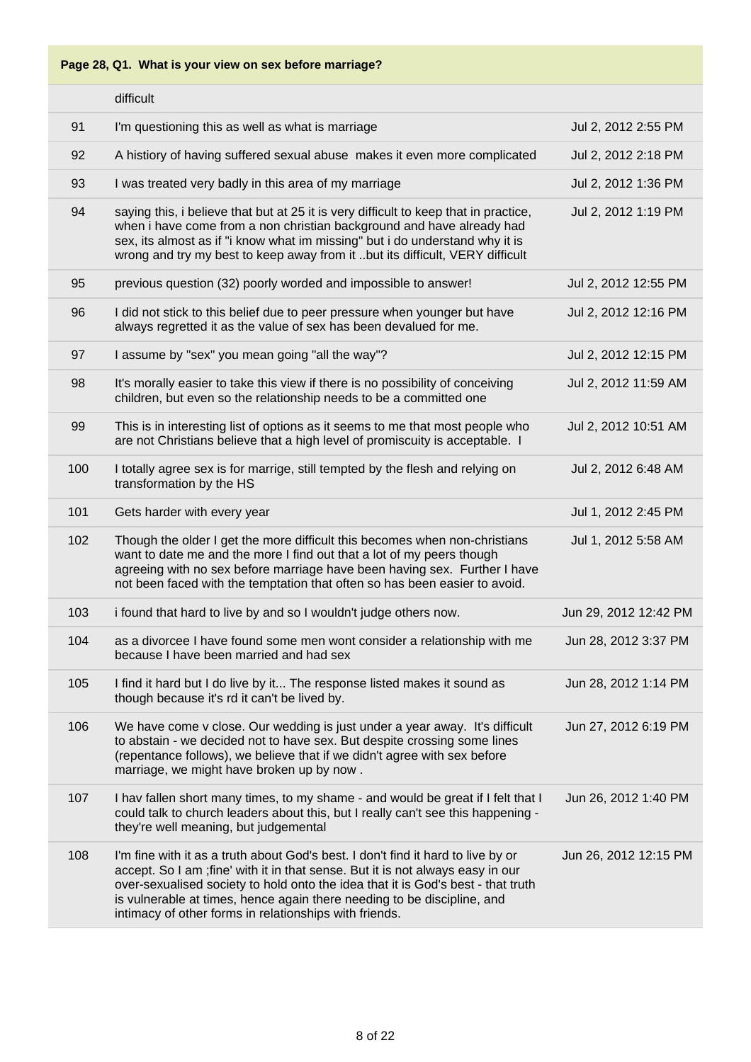|     | difficult                                                                                                                                                                                                                                                                                                                                                                                    |                       |
|-----|----------------------------------------------------------------------------------------------------------------------------------------------------------------------------------------------------------------------------------------------------------------------------------------------------------------------------------------------------------------------------------------------|-----------------------|
| 91  | I'm questioning this as well as what is marriage                                                                                                                                                                                                                                                                                                                                             | Jul 2, 2012 2:55 PM   |
| 92  | A histiory of having suffered sexual abuse makes it even more complicated                                                                                                                                                                                                                                                                                                                    | Jul 2, 2012 2:18 PM   |
| 93  | I was treated very badly in this area of my marriage                                                                                                                                                                                                                                                                                                                                         | Jul 2, 2012 1:36 PM   |
| 94  | saying this, i believe that but at 25 it is very difficult to keep that in practice,<br>when i have come from a non christian background and have already had<br>sex, its almost as if "i know what im missing" but i do understand why it is<br>wrong and try my best to keep away from it but its difficult, VERY difficult                                                                | Jul 2, 2012 1:19 PM   |
| 95  | previous question (32) poorly worded and impossible to answer!                                                                                                                                                                                                                                                                                                                               | Jul 2, 2012 12:55 PM  |
| 96  | I did not stick to this belief due to peer pressure when younger but have<br>always regretted it as the value of sex has been devalued for me.                                                                                                                                                                                                                                               | Jul 2, 2012 12:16 PM  |
| 97  | I assume by "sex" you mean going "all the way"?                                                                                                                                                                                                                                                                                                                                              | Jul 2, 2012 12:15 PM  |
| 98  | It's morally easier to take this view if there is no possibility of conceiving<br>children, but even so the relationship needs to be a committed one                                                                                                                                                                                                                                         | Jul 2, 2012 11:59 AM  |
| 99  | This is in interesting list of options as it seems to me that most people who<br>are not Christians believe that a high level of promiscuity is acceptable. I                                                                                                                                                                                                                                | Jul 2, 2012 10:51 AM  |
| 100 | I totally agree sex is for marrige, still tempted by the flesh and relying on<br>transformation by the HS                                                                                                                                                                                                                                                                                    | Jul 2, 2012 6:48 AM   |
| 101 | Gets harder with every year                                                                                                                                                                                                                                                                                                                                                                  | Jul 1, 2012 2:45 PM   |
| 102 | Though the older I get the more difficult this becomes when non-christians<br>want to date me and the more I find out that a lot of my peers though<br>agreeing with no sex before marriage have been having sex. Further I have<br>not been faced with the temptation that often so has been easier to avoid.                                                                               | Jul 1, 2012 5:58 AM   |
| 103 | i found that hard to live by and so I wouldn't judge others now.                                                                                                                                                                                                                                                                                                                             | Jun 29, 2012 12:42 PM |
| 104 | as a divorcee I have found some men wont consider a relationship with me<br>because I have been married and had sex                                                                                                                                                                                                                                                                          | Jun 28, 2012 3:37 PM  |
| 105 | I find it hard but I do live by it The response listed makes it sound as<br>though because it's rd it can't be lived by.                                                                                                                                                                                                                                                                     | Jun 28, 2012 1:14 PM  |
| 106 | We have come v close. Our wedding is just under a year away. It's difficult<br>to abstain - we decided not to have sex. But despite crossing some lines<br>(repentance follows), we believe that if we didn't agree with sex before<br>marriage, we might have broken up by now.                                                                                                             | Jun 27, 2012 6:19 PM  |
| 107 | I hav fallen short many times, to my shame - and would be great if I felt that I<br>could talk to church leaders about this, but I really can't see this happening -<br>they're well meaning, but judgemental                                                                                                                                                                                | Jun 26, 2012 1:40 PM  |
| 108 | I'm fine with it as a truth about God's best. I don't find it hard to live by or<br>accept. So I am ; fine' with it in that sense. But it is not always easy in our<br>over-sexualised society to hold onto the idea that it is God's best - that truth<br>is vulnerable at times, hence again there needing to be discipline, and<br>intimacy of other forms in relationships with friends. | Jun 26, 2012 12:15 PM |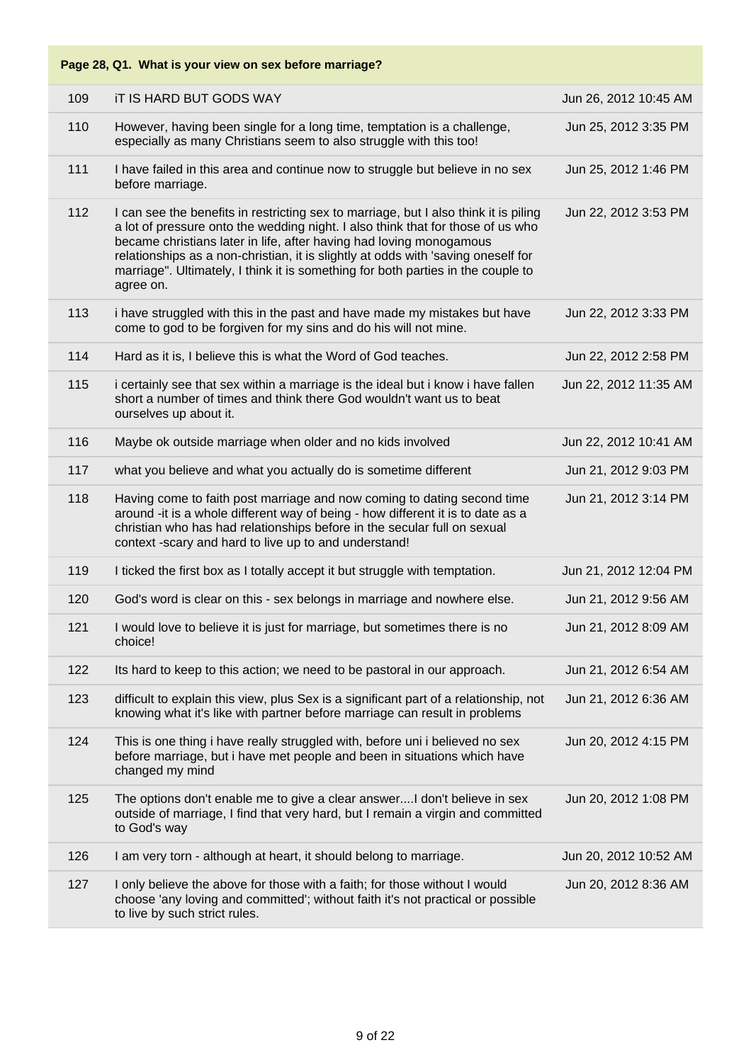| Page 28, Q1. What is your view on sex before marriage? |                                                                                                                                                                                                                                                                                                                                                                                                                                      |                       |  |
|--------------------------------------------------------|--------------------------------------------------------------------------------------------------------------------------------------------------------------------------------------------------------------------------------------------------------------------------------------------------------------------------------------------------------------------------------------------------------------------------------------|-----------------------|--|
| 109                                                    | IT IS HARD BUT GODS WAY                                                                                                                                                                                                                                                                                                                                                                                                              | Jun 26, 2012 10:45 AM |  |
| 110                                                    | However, having been single for a long time, temptation is a challenge,<br>especially as many Christians seem to also struggle with this too!                                                                                                                                                                                                                                                                                        | Jun 25, 2012 3:35 PM  |  |
| 111                                                    | I have failed in this area and continue now to struggle but believe in no sex<br>before marriage.                                                                                                                                                                                                                                                                                                                                    | Jun 25, 2012 1:46 PM  |  |
| 112                                                    | I can see the benefits in restricting sex to marriage, but I also think it is piling<br>a lot of pressure onto the wedding night. I also think that for those of us who<br>became christians later in life, after having had loving monogamous<br>relationships as a non-christian, it is slightly at odds with 'saving oneself for<br>marriage". Ultimately, I think it is something for both parties in the couple to<br>agree on. | Jun 22, 2012 3:53 PM  |  |
| 113                                                    | i have struggled with this in the past and have made my mistakes but have<br>come to god to be forgiven for my sins and do his will not mine.                                                                                                                                                                                                                                                                                        | Jun 22, 2012 3:33 PM  |  |
| 114                                                    | Hard as it is, I believe this is what the Word of God teaches.                                                                                                                                                                                                                                                                                                                                                                       | Jun 22, 2012 2:58 PM  |  |
| 115                                                    | i certainly see that sex within a marriage is the ideal but i know i have fallen<br>short a number of times and think there God wouldn't want us to beat<br>ourselves up about it.                                                                                                                                                                                                                                                   | Jun 22, 2012 11:35 AM |  |
| 116                                                    | Maybe ok outside marriage when older and no kids involved                                                                                                                                                                                                                                                                                                                                                                            | Jun 22, 2012 10:41 AM |  |
| 117                                                    | what you believe and what you actually do is sometime different                                                                                                                                                                                                                                                                                                                                                                      | Jun 21, 2012 9:03 PM  |  |
| 118                                                    | Having come to faith post marriage and now coming to dating second time<br>around -it is a whole different way of being - how different it is to date as a<br>christian who has had relationships before in the secular full on sexual<br>context -scary and hard to live up to and understand!                                                                                                                                      | Jun 21, 2012 3:14 PM  |  |
| 119                                                    | I ticked the first box as I totally accept it but struggle with temptation.                                                                                                                                                                                                                                                                                                                                                          | Jun 21, 2012 12:04 PM |  |
| 120                                                    | God's word is clear on this - sex belongs in marriage and nowhere else.                                                                                                                                                                                                                                                                                                                                                              | Jun 21, 2012 9:56 AM  |  |
| 121                                                    | I would love to believe it is just for marriage, but sometimes there is no<br>choice!                                                                                                                                                                                                                                                                                                                                                | Jun 21, 2012 8:09 AM  |  |
| 122                                                    | Its hard to keep to this action; we need to be pastoral in our approach.                                                                                                                                                                                                                                                                                                                                                             | Jun 21, 2012 6:54 AM  |  |
| 123                                                    | difficult to explain this view, plus Sex is a significant part of a relationship, not<br>knowing what it's like with partner before marriage can result in problems                                                                                                                                                                                                                                                                  | Jun 21, 2012 6:36 AM  |  |
| 124                                                    | This is one thing i have really struggled with, before uni i believed no sex<br>before marriage, but i have met people and been in situations which have<br>changed my mind                                                                                                                                                                                                                                                          | Jun 20, 2012 4:15 PM  |  |
| 125                                                    | The options don't enable me to give a clear answerI don't believe in sex<br>outside of marriage, I find that very hard, but I remain a virgin and committed<br>to God's way                                                                                                                                                                                                                                                          | Jun 20, 2012 1:08 PM  |  |
| 126                                                    | I am very torn - although at heart, it should belong to marriage.                                                                                                                                                                                                                                                                                                                                                                    | Jun 20, 2012 10:52 AM |  |
| 127                                                    | I only believe the above for those with a faith; for those without I would<br>choose 'any loving and committed'; without faith it's not practical or possible<br>to live by such strict rules.                                                                                                                                                                                                                                       | Jun 20, 2012 8:36 AM  |  |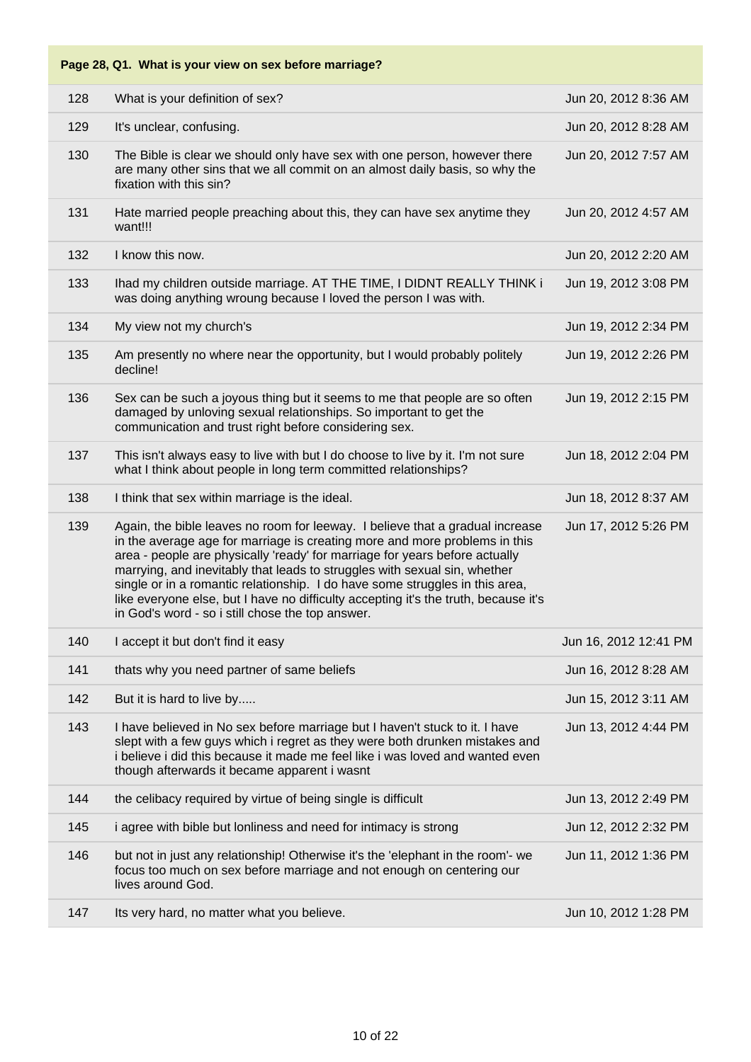| 128 | What is your definition of sex?                                                                                                                                                                                                                                                                                                                                                                                                                                                                                                                    | Jun 20, 2012 8:36 AM  |
|-----|----------------------------------------------------------------------------------------------------------------------------------------------------------------------------------------------------------------------------------------------------------------------------------------------------------------------------------------------------------------------------------------------------------------------------------------------------------------------------------------------------------------------------------------------------|-----------------------|
| 129 | It's unclear, confusing.                                                                                                                                                                                                                                                                                                                                                                                                                                                                                                                           | Jun 20, 2012 8:28 AM  |
| 130 | The Bible is clear we should only have sex with one person, however there<br>are many other sins that we all commit on an almost daily basis, so why the<br>fixation with this sin?                                                                                                                                                                                                                                                                                                                                                                | Jun 20, 2012 7:57 AM  |
| 131 | Hate married people preaching about this, they can have sex anytime they<br>want!!!                                                                                                                                                                                                                                                                                                                                                                                                                                                                | Jun 20, 2012 4:57 AM  |
| 132 | I know this now.                                                                                                                                                                                                                                                                                                                                                                                                                                                                                                                                   | Jun 20, 2012 2:20 AM  |
| 133 | Ihad my children outside marriage. AT THE TIME, I DIDNT REALLY THINK i<br>was doing anything wroung because I loved the person I was with.                                                                                                                                                                                                                                                                                                                                                                                                         | Jun 19, 2012 3:08 PM  |
| 134 | My view not my church's                                                                                                                                                                                                                                                                                                                                                                                                                                                                                                                            | Jun 19, 2012 2:34 PM  |
| 135 | Am presently no where near the opportunity, but I would probably politely<br>decline!                                                                                                                                                                                                                                                                                                                                                                                                                                                              | Jun 19, 2012 2:26 PM  |
| 136 | Sex can be such a joyous thing but it seems to me that people are so often<br>damaged by unloving sexual relationships. So important to get the<br>communication and trust right before considering sex.                                                                                                                                                                                                                                                                                                                                           | Jun 19, 2012 2:15 PM  |
| 137 | This isn't always easy to live with but I do choose to live by it. I'm not sure<br>what I think about people in long term committed relationships?                                                                                                                                                                                                                                                                                                                                                                                                 | Jun 18, 2012 2:04 PM  |
| 138 | I think that sex within marriage is the ideal.                                                                                                                                                                                                                                                                                                                                                                                                                                                                                                     | Jun 18, 2012 8:37 AM  |
| 139 | Again, the bible leaves no room for leeway. I believe that a gradual increase<br>in the average age for marriage is creating more and more problems in this<br>area - people are physically 'ready' for marriage for years before actually<br>marrying, and inevitably that leads to struggles with sexual sin, whether<br>single or in a romantic relationship. I do have some struggles in this area,<br>like everyone else, but I have no difficulty accepting it's the truth, because it's<br>in God's word - so i still chose the top answer. | Jun 17, 2012 5:26 PM  |
| 140 | I accept it but don't find it easy                                                                                                                                                                                                                                                                                                                                                                                                                                                                                                                 | Jun 16, 2012 12:41 PM |
| 141 | thats why you need partner of same beliefs                                                                                                                                                                                                                                                                                                                                                                                                                                                                                                         | Jun 16, 2012 8:28 AM  |
| 142 | But it is hard to live by                                                                                                                                                                                                                                                                                                                                                                                                                                                                                                                          | Jun 15, 2012 3:11 AM  |
| 143 | I have believed in No sex before marriage but I haven't stuck to it. I have<br>slept with a few guys which i regret as they were both drunken mistakes and<br>i believe i did this because it made me feel like i was loved and wanted even<br>though afterwards it became apparent i wasnt                                                                                                                                                                                                                                                        | Jun 13, 2012 4:44 PM  |
| 144 | the celibacy required by virtue of being single is difficult                                                                                                                                                                                                                                                                                                                                                                                                                                                                                       | Jun 13, 2012 2:49 PM  |
| 145 | i agree with bible but lonliness and need for intimacy is strong                                                                                                                                                                                                                                                                                                                                                                                                                                                                                   | Jun 12, 2012 2:32 PM  |
| 146 | but not in just any relationship! Otherwise it's the 'elephant in the room'- we<br>focus too much on sex before marriage and not enough on centering our<br>lives around God.                                                                                                                                                                                                                                                                                                                                                                      | Jun 11, 2012 1:36 PM  |
| 147 | Its very hard, no matter what you believe.                                                                                                                                                                                                                                                                                                                                                                                                                                                                                                         | Jun 10, 2012 1:28 PM  |
|     |                                                                                                                                                                                                                                                                                                                                                                                                                                                                                                                                                    |                       |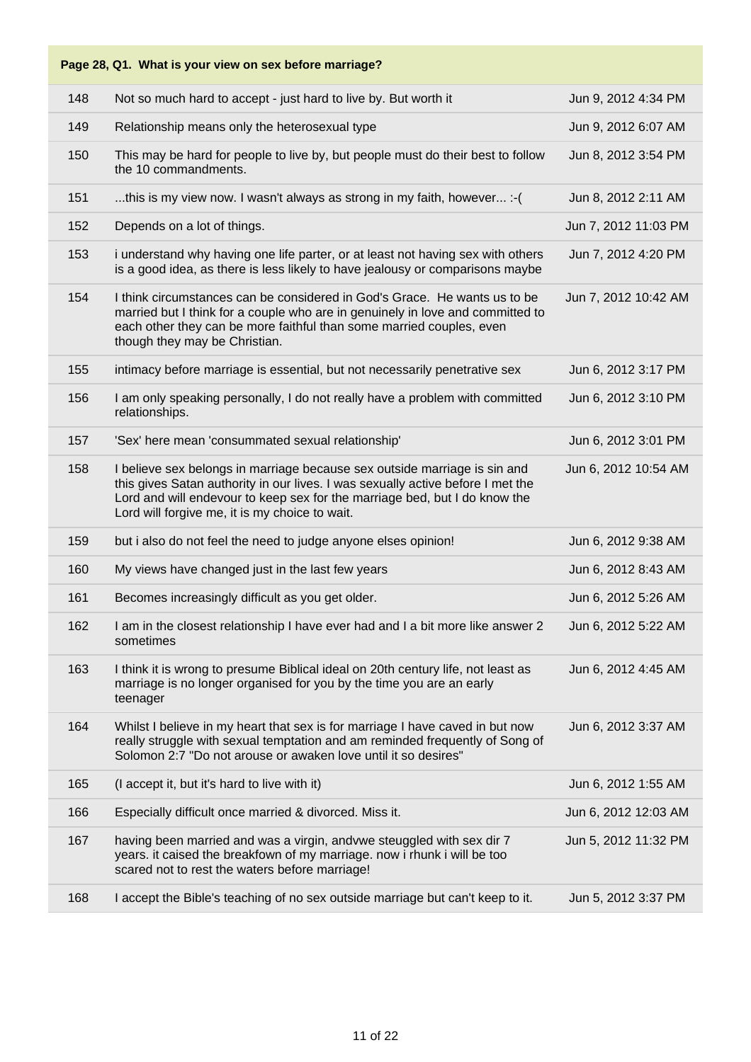|     | Page 28, Q1. What is your view on sex before marriage?                                                                                                                                                                                                                                       |                      |
|-----|----------------------------------------------------------------------------------------------------------------------------------------------------------------------------------------------------------------------------------------------------------------------------------------------|----------------------|
| 148 | Not so much hard to accept - just hard to live by. But worth it                                                                                                                                                                                                                              | Jun 9, 2012 4:34 PM  |
| 149 | Relationship means only the heterosexual type                                                                                                                                                                                                                                                | Jun 9, 2012 6:07 AM  |
| 150 | This may be hard for people to live by, but people must do their best to follow<br>the 10 commandments.                                                                                                                                                                                      | Jun 8, 2012 3:54 PM  |
| 151 | this is my view now. I wasn't always as strong in my faith, however :- (                                                                                                                                                                                                                     | Jun 8, 2012 2:11 AM  |
| 152 | Depends on a lot of things.                                                                                                                                                                                                                                                                  | Jun 7, 2012 11:03 PM |
| 153 | i understand why having one life parter, or at least not having sex with others<br>is a good idea, as there is less likely to have jealousy or comparisons maybe                                                                                                                             | Jun 7, 2012 4:20 PM  |
| 154 | I think circumstances can be considered in God's Grace. He wants us to be<br>married but I think for a couple who are in genuinely in love and committed to<br>each other they can be more faithful than some married couples, even<br>though they may be Christian.                         | Jun 7, 2012 10:42 AM |
| 155 | intimacy before marriage is essential, but not necessarily penetrative sex                                                                                                                                                                                                                   | Jun 6, 2012 3:17 PM  |
| 156 | I am only speaking personally, I do not really have a problem with committed<br>relationships.                                                                                                                                                                                               | Jun 6, 2012 3:10 PM  |
| 157 | 'Sex' here mean 'consummated sexual relationship'                                                                                                                                                                                                                                            | Jun 6, 2012 3:01 PM  |
| 158 | I believe sex belongs in marriage because sex outside marriage is sin and<br>this gives Satan authority in our lives. I was sexually active before I met the<br>Lord and will endevour to keep sex for the marriage bed, but I do know the<br>Lord will forgive me, it is my choice to wait. | Jun 6, 2012 10:54 AM |
| 159 | but i also do not feel the need to judge anyone elses opinion!                                                                                                                                                                                                                               | Jun 6, 2012 9:38 AM  |
| 160 | My views have changed just in the last few years                                                                                                                                                                                                                                             | Jun 6, 2012 8:43 AM  |
| 161 | Becomes increasingly difficult as you get older.                                                                                                                                                                                                                                             | Jun 6, 2012 5:26 AM  |
| 162 | I am in the closest relationship I have ever had and I a bit more like answer 2<br>sometimes                                                                                                                                                                                                 | Jun 6, 2012 5:22 AM  |
| 163 | I think it is wrong to presume Biblical ideal on 20th century life, not least as<br>marriage is no longer organised for you by the time you are an early<br>teenager                                                                                                                         | Jun 6, 2012 4:45 AM  |
| 164 | Whilst I believe in my heart that sex is for marriage I have caved in but now<br>really struggle with sexual temptation and am reminded frequently of Song of<br>Solomon 2:7 "Do not arouse or awaken love until it so desires"                                                              | Jun 6, 2012 3:37 AM  |
| 165 | (I accept it, but it's hard to live with it)                                                                                                                                                                                                                                                 | Jun 6, 2012 1:55 AM  |
| 166 | Especially difficult once married & divorced. Miss it.                                                                                                                                                                                                                                       | Jun 6, 2012 12:03 AM |
| 167 | having been married and was a virgin, andvwe steuggled with sex dir 7<br>years. it caised the breakfown of my marriage. now i rhunk i will be too<br>scared not to rest the waters before marriage!                                                                                          | Jun 5, 2012 11:32 PM |
| 168 | I accept the Bible's teaching of no sex outside marriage but can't keep to it.                                                                                                                                                                                                               | Jun 5, 2012 3:37 PM  |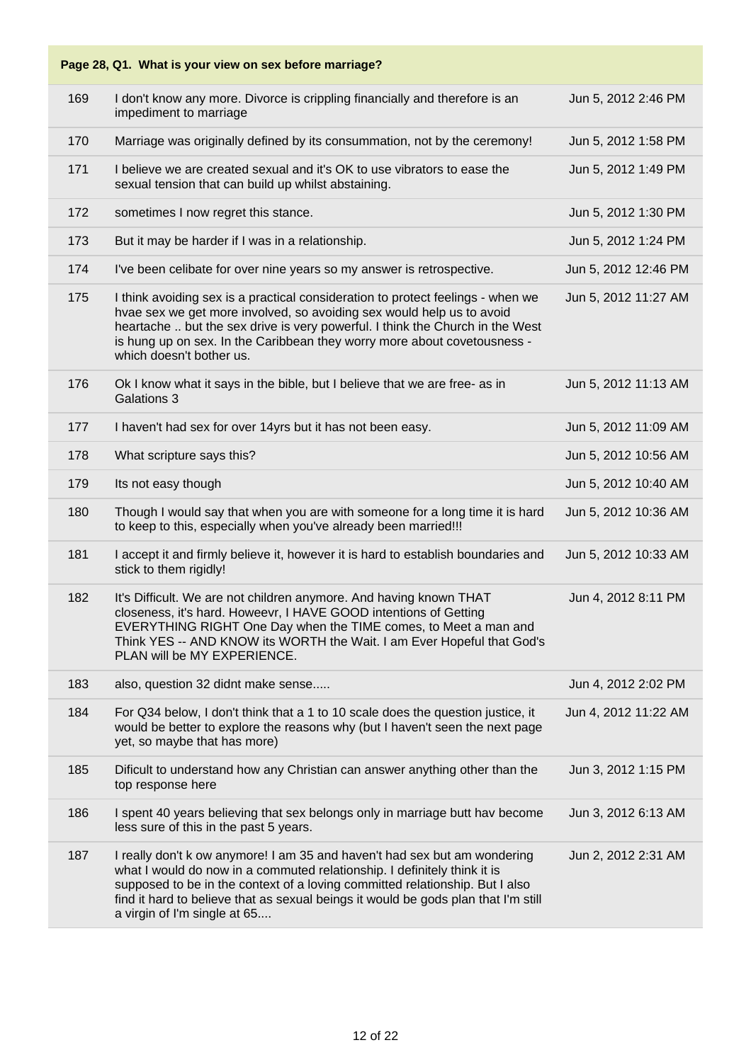#### **Page 28, Q1. What is your view on sex before marriage?** 169 I don't know any more. Divorce is crippling financially and therefore is an impediment to marriage Jun 5, 2012 2:46 PM 170 Marriage was originally defined by its consummation, not by the ceremony! Jun 5, 2012 1:58 PM 171 I believe we are created sexual and it's OK to use vibrators to ease the sexual tension that can build up whilst abstaining. Jun 5, 2012 1:49 PM 172 sometimes I now regret this stance. In the stance of the standard state of the standard state of the standard standard standard standard state of the standard standard standard standard standard standard standard stand 173 But it may be harder if I was in a relationship. The state of the state of the state of the state of the state of the state of the state of the state of the state of the state of the state of the state of the state of 174 I've been celibate for over nine years so my answer is retrospective. Jun 5, 2012 12:46 PM 175 I think avoiding sex is a practical consideration to protect feelings - when we hvae sex we get more involved, so avoiding sex would help us to avoid heartache .. but the sex drive is very powerful. I think the Church in the West is hung up on sex. In the Caribbean they worry more about covetousness which doesn't bother us. Jun 5, 2012 11:27 AM 176 Ok I know what it says in the bible, but I believe that we are free- as in Galations 3 Jun 5, 2012 11:13 AM 177 I haven't had sex for over 14yrs but it has not been easy. Jun 5, 2012 11:09 AM 178 What scripture says this? In the case of the case of the case of the case of the case of the case of the case of the case of the case of the case of the case of the case of the case of the case of the case of the case 179 Its not easy though Its not easy though Its not easy though Its not easy though Its not easy though Its not easy though Its not easy though Its not easy though Its not easy though Its not easy though Its not easy thoug 180 Though I would say that when you are with someone for a long time it is hard to keep to this, especially when you've already been married!!! Jun 5, 2012 10:36 AM 181 I accept it and firmly believe it, however it is hard to establish boundaries and stick to them rigidly! Jun 5, 2012 10:33 AM 182 It's Difficult. We are not children anymore. And having known THAT closeness, it's hard. Howeevr, I HAVE GOOD intentions of Getting EVERYTHING RIGHT One Day when the TIME comes, to Meet a man and Think YES -- AND KNOW its WORTH the Wait. I am Ever Hopeful that God's PLAN will be MY EXPERIENCE. Jun 4, 2012 8:11 PM 183 also, question 32 didnt make sense..... Jun 4, 2012 2:02 PM 184 For Q34 below, I don't think that a 1 to 10 scale does the question justice, it would be better to explore the reasons why (but I haven't seen the next page yet, so maybe that has more) Jun 4, 2012 11:22 AM 185 Dificult to understand how any Christian can answer anything other than the top response here Jun 3, 2012 1:15 PM 186 I spent 40 years believing that sex belongs only in marriage butt hav become less sure of this in the past 5 years. Jun 3, 2012 6:13 AM 187 I really don't k ow anymore! I am 35 and haven't had sex but am wondering what I would do now in a commuted relationship. I definitely think it is supposed to be in the context of a loving committed relationship. But I also find it hard to believe that as sexual beings it would be gods plan that I'm still a virgin of I'm single at 65.... Jun 2, 2012 2:31 AM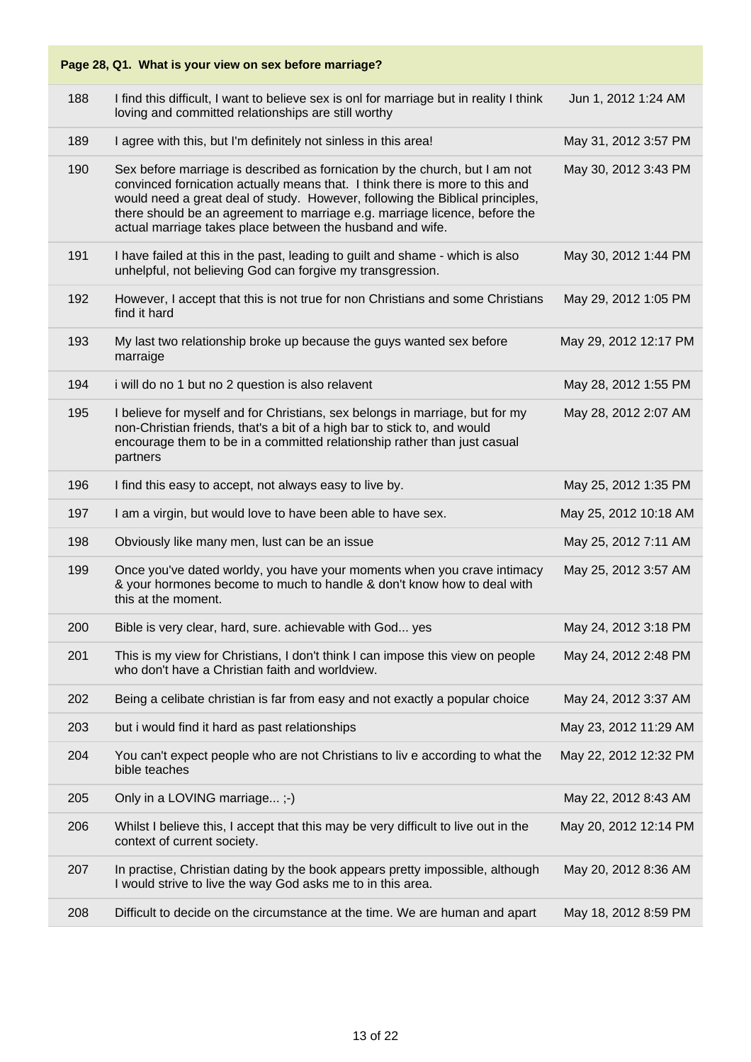|     | Page 28, Q1. What is your view on sex before marriage?                                                                                                                                                                                                                                                                                                                                  |                       |
|-----|-----------------------------------------------------------------------------------------------------------------------------------------------------------------------------------------------------------------------------------------------------------------------------------------------------------------------------------------------------------------------------------------|-----------------------|
| 188 | I find this difficult, I want to believe sex is onl for marriage but in reality I think<br>loving and committed relationships are still worthy                                                                                                                                                                                                                                          | Jun 1, 2012 1:24 AM   |
| 189 | I agree with this, but I'm definitely not sinless in this area!                                                                                                                                                                                                                                                                                                                         | May 31, 2012 3:57 PM  |
| 190 | Sex before marriage is described as fornication by the church, but I am not<br>convinced fornication actually means that. I think there is more to this and<br>would need a great deal of study. However, following the Biblical principles,<br>there should be an agreement to marriage e.g. marriage licence, before the<br>actual marriage takes place between the husband and wife. | May 30, 2012 3:43 PM  |
| 191 | I have failed at this in the past, leading to guilt and shame - which is also<br>unhelpful, not believing God can forgive my transgression.                                                                                                                                                                                                                                             | May 30, 2012 1:44 PM  |
| 192 | However, I accept that this is not true for non Christians and some Christians<br>find it hard                                                                                                                                                                                                                                                                                          | May 29, 2012 1:05 PM  |
| 193 | My last two relationship broke up because the guys wanted sex before<br>marraige                                                                                                                                                                                                                                                                                                        | May 29, 2012 12:17 PM |
| 194 | i will do no 1 but no 2 question is also relavent                                                                                                                                                                                                                                                                                                                                       | May 28, 2012 1:55 PM  |
| 195 | I believe for myself and for Christians, sex belongs in marriage, but for my<br>non-Christian friends, that's a bit of a high bar to stick to, and would<br>encourage them to be in a committed relationship rather than just casual<br>partners                                                                                                                                        | May 28, 2012 2:07 AM  |
| 196 | I find this easy to accept, not always easy to live by.                                                                                                                                                                                                                                                                                                                                 | May 25, 2012 1:35 PM  |
| 197 | I am a virgin, but would love to have been able to have sex.                                                                                                                                                                                                                                                                                                                            | May 25, 2012 10:18 AM |
| 198 | Obviously like many men, lust can be an issue                                                                                                                                                                                                                                                                                                                                           | May 25, 2012 7:11 AM  |
| 199 | Once you've dated worldy, you have your moments when you crave intimacy<br>& your hormones become to much to handle & don't know how to deal with<br>this at the moment.                                                                                                                                                                                                                | May 25, 2012 3:57 AM  |
| 200 | Bible is very clear, hard, sure. achievable with God yes                                                                                                                                                                                                                                                                                                                                | May 24, 2012 3:18 PM  |
| 201 | This is my view for Christians, I don't think I can impose this view on people<br>who don't have a Christian faith and worldview.                                                                                                                                                                                                                                                       | May 24, 2012 2:48 PM  |
| 202 | Being a celibate christian is far from easy and not exactly a popular choice                                                                                                                                                                                                                                                                                                            | May 24, 2012 3:37 AM  |
| 203 | but i would find it hard as past relationships                                                                                                                                                                                                                                                                                                                                          | May 23, 2012 11:29 AM |
| 204 | You can't expect people who are not Christians to liv e according to what the<br>bible teaches                                                                                                                                                                                                                                                                                          | May 22, 2012 12:32 PM |
| 205 | Only in a LOVING marriage;-)                                                                                                                                                                                                                                                                                                                                                            | May 22, 2012 8:43 AM  |
| 206 | Whilst I believe this, I accept that this may be very difficult to live out in the<br>context of current society.                                                                                                                                                                                                                                                                       | May 20, 2012 12:14 PM |
| 207 | In practise, Christian dating by the book appears pretty impossible, although<br>I would strive to live the way God asks me to in this area.                                                                                                                                                                                                                                            | May 20, 2012 8:36 AM  |
| 208 | Difficult to decide on the circumstance at the time. We are human and apart                                                                                                                                                                                                                                                                                                             | May 18, 2012 8:59 PM  |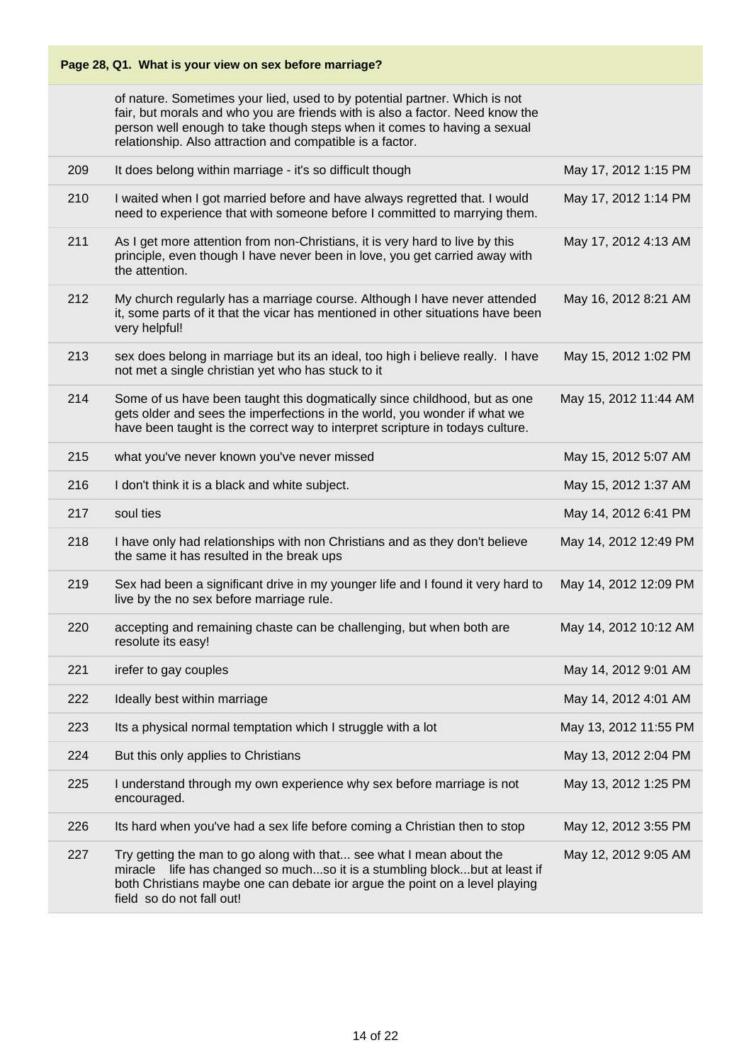of nature. Sometimes your lied, used to by potential partner. Which is not fair, but morals and who you are friends with is also a factor. Need know the person well enough to take though steps when it comes to having a sexual relationship. Also attraction and compatible is a factor.

| 209 | It does belong within marriage - it's so difficult though                                                                                                                                                                                                    | May 17, 2012 1:15 PM  |
|-----|--------------------------------------------------------------------------------------------------------------------------------------------------------------------------------------------------------------------------------------------------------------|-----------------------|
| 210 | I waited when I got married before and have always regretted that. I would<br>need to experience that with someone before I committed to marrying them.                                                                                                      | May 17, 2012 1:14 PM  |
| 211 | As I get more attention from non-Christians, it is very hard to live by this<br>principle, even though I have never been in love, you get carried away with<br>the attention.                                                                                | May 17, 2012 4:13 AM  |
| 212 | My church regularly has a marriage course. Although I have never attended<br>it, some parts of it that the vicar has mentioned in other situations have been<br>very helpful!                                                                                | May 16, 2012 8:21 AM  |
| 213 | sex does belong in marriage but its an ideal, too high i believe really. I have<br>not met a single christian yet who has stuck to it                                                                                                                        | May 15, 2012 1:02 PM  |
| 214 | Some of us have been taught this dogmatically since childhood, but as one<br>gets older and sees the imperfections in the world, you wonder if what we<br>have been taught is the correct way to interpret scripture in todays culture.                      | May 15, 2012 11:44 AM |
| 215 | what you've never known you've never missed                                                                                                                                                                                                                  | May 15, 2012 5:07 AM  |
| 216 | I don't think it is a black and white subject.                                                                                                                                                                                                               | May 15, 2012 1:37 AM  |
| 217 | soul ties                                                                                                                                                                                                                                                    | May 14, 2012 6:41 PM  |
| 218 | I have only had relationships with non Christians and as they don't believe<br>the same it has resulted in the break ups                                                                                                                                     | May 14, 2012 12:49 PM |
| 219 | Sex had been a significant drive in my younger life and I found it very hard to<br>live by the no sex before marriage rule.                                                                                                                                  | May 14, 2012 12:09 PM |
| 220 | accepting and remaining chaste can be challenging, but when both are<br>resolute its easy!                                                                                                                                                                   | May 14, 2012 10:12 AM |
| 221 | irefer to gay couples                                                                                                                                                                                                                                        | May 14, 2012 9:01 AM  |
| 222 | Ideally best within marriage                                                                                                                                                                                                                                 | May 14, 2012 4:01 AM  |
| 223 | Its a physical normal temptation which I struggle with a lot                                                                                                                                                                                                 | May 13, 2012 11:55 PM |
| 224 | But this only applies to Christians                                                                                                                                                                                                                          | May 13, 2012 2:04 PM  |
| 225 | I understand through my own experience why sex before marriage is not<br>encouraged.                                                                                                                                                                         | May 13, 2012 1:25 PM  |
| 226 | Its hard when you've had a sex life before coming a Christian then to stop                                                                                                                                                                                   | May 12, 2012 3:55 PM  |
| 227 | Try getting the man to go along with that see what I mean about the<br>miracle life has changed so muchso it is a stumbling blockbut at least if<br>both Christians maybe one can debate ior argue the point on a level playing<br>field so do not fall out! | May 12, 2012 9:05 AM  |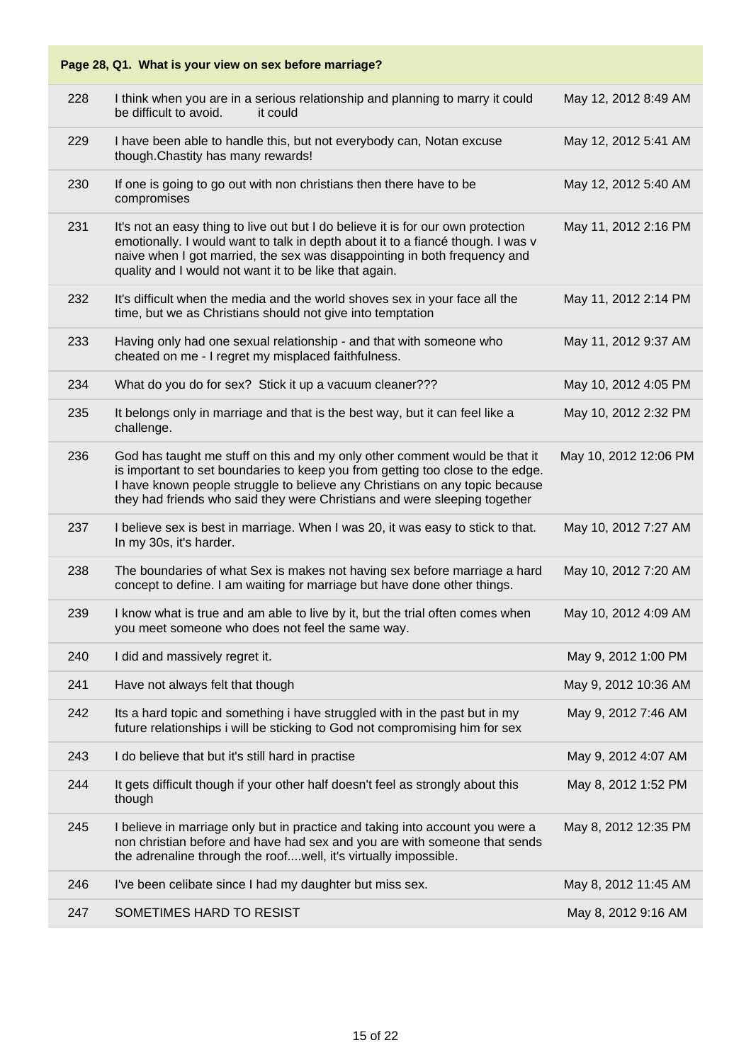| 228 | I think when you are in a serious relationship and planning to marry it could<br>be difficult to avoid.<br>it could                                                                                                                                                                                                      | May 12, 2012 8:49 AM  |
|-----|--------------------------------------------------------------------------------------------------------------------------------------------------------------------------------------------------------------------------------------------------------------------------------------------------------------------------|-----------------------|
| 229 | I have been able to handle this, but not everybody can, Notan excuse<br>though. Chastity has many rewards!                                                                                                                                                                                                               | May 12, 2012 5:41 AM  |
| 230 | If one is going to go out with non christians then there have to be<br>compromises                                                                                                                                                                                                                                       | May 12, 2012 5:40 AM  |
| 231 | It's not an easy thing to live out but I do believe it is for our own protection<br>emotionally. I would want to talk in depth about it to a fiancé though. I was v<br>naive when I got married, the sex was disappointing in both frequency and<br>quality and I would not want it to be like that again.               | May 11, 2012 2:16 PM  |
| 232 | It's difficult when the media and the world shoves sex in your face all the<br>time, but we as Christians should not give into temptation                                                                                                                                                                                | May 11, 2012 2:14 PM  |
| 233 | Having only had one sexual relationship - and that with someone who<br>cheated on me - I regret my misplaced faithfulness.                                                                                                                                                                                               | May 11, 2012 9:37 AM  |
| 234 | What do you do for sex? Stick it up a vacuum cleaner???                                                                                                                                                                                                                                                                  | May 10, 2012 4:05 PM  |
| 235 | It belongs only in marriage and that is the best way, but it can feel like a<br>challenge.                                                                                                                                                                                                                               | May 10, 2012 2:32 PM  |
| 236 | God has taught me stuff on this and my only other comment would be that it<br>is important to set boundaries to keep you from getting too close to the edge.<br>I have known people struggle to believe any Christians on any topic because<br>they had friends who said they were Christians and were sleeping together | May 10, 2012 12:06 PM |
| 237 | I believe sex is best in marriage. When I was 20, it was easy to stick to that.<br>In my 30s, it's harder.                                                                                                                                                                                                               | May 10, 2012 7:27 AM  |
| 238 | The boundaries of what Sex is makes not having sex before marriage a hard<br>concept to define. I am waiting for marriage but have done other things.                                                                                                                                                                    | May 10, 2012 7:20 AM  |
| 239 | I know what is true and am able to live by it, but the trial often comes when<br>you meet someone who does not feel the same way.                                                                                                                                                                                        | May 10, 2012 4:09 AM  |
| 240 | I did and massively regret it.                                                                                                                                                                                                                                                                                           | May 9, 2012 1:00 PM   |
| 241 | Have not always felt that though                                                                                                                                                                                                                                                                                         | May 9, 2012 10:36 AM  |
| 242 | Its a hard topic and something i have struggled with in the past but in my<br>future relationships i will be sticking to God not compromising him for sex                                                                                                                                                                | May 9, 2012 7:46 AM   |
| 243 | I do believe that but it's still hard in practise                                                                                                                                                                                                                                                                        | May 9, 2012 4:07 AM   |
| 244 | It gets difficult though if your other half doesn't feel as strongly about this<br>though                                                                                                                                                                                                                                | May 8, 2012 1:52 PM   |
| 245 | I believe in marriage only but in practice and taking into account you were a<br>non christian before and have had sex and you are with someone that sends<br>the adrenaline through the roofwell, it's virtually impossible.                                                                                            | May 8, 2012 12:35 PM  |
| 246 | I've been celibate since I had my daughter but miss sex.                                                                                                                                                                                                                                                                 | May 8, 2012 11:45 AM  |
| 247 | SOMETIMES HARD TO RESIST                                                                                                                                                                                                                                                                                                 | May 8, 2012 9:16 AM   |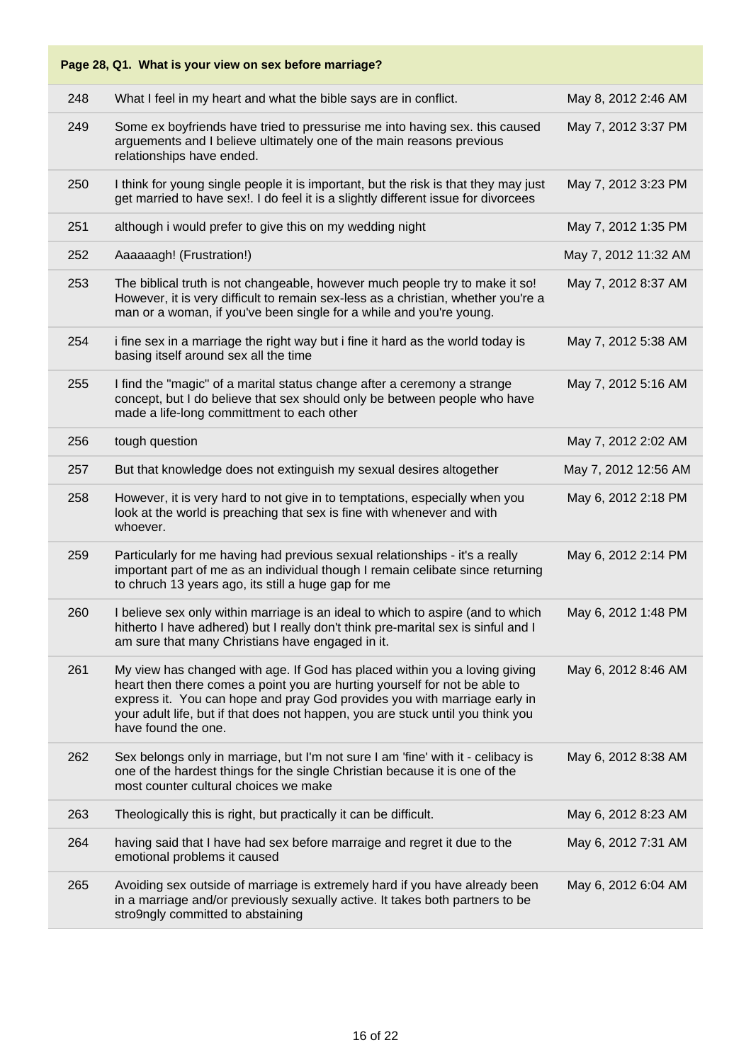| Page 28, Q1. What is your view on sex before marriage? |                                                                                                                                                                                                                                                                                                                                                 |                      |  |
|--------------------------------------------------------|-------------------------------------------------------------------------------------------------------------------------------------------------------------------------------------------------------------------------------------------------------------------------------------------------------------------------------------------------|----------------------|--|
| 248                                                    | What I feel in my heart and what the bible says are in conflict.                                                                                                                                                                                                                                                                                | May 8, 2012 2:46 AM  |  |
| 249                                                    | Some ex boyfriends have tried to pressurise me into having sex. this caused<br>arguements and I believe ultimately one of the main reasons previous<br>relationships have ended.                                                                                                                                                                | May 7, 2012 3:37 PM  |  |
| 250                                                    | I think for young single people it is important, but the risk is that they may just<br>get married to have sex!. I do feel it is a slightly different issue for divorcees                                                                                                                                                                       | May 7, 2012 3:23 PM  |  |
| 251                                                    | although i would prefer to give this on my wedding night                                                                                                                                                                                                                                                                                        | May 7, 2012 1:35 PM  |  |
| 252                                                    | Aaaaaagh! (Frustration!)                                                                                                                                                                                                                                                                                                                        | May 7, 2012 11:32 AM |  |
| 253                                                    | The biblical truth is not changeable, however much people try to make it so!<br>However, it is very difficult to remain sex-less as a christian, whether you're a<br>man or a woman, if you've been single for a while and you're young.                                                                                                        | May 7, 2012 8:37 AM  |  |
| 254                                                    | i fine sex in a marriage the right way but i fine it hard as the world today is<br>basing itself around sex all the time                                                                                                                                                                                                                        | May 7, 2012 5:38 AM  |  |
| 255                                                    | I find the "magic" of a marital status change after a ceremony a strange<br>concept, but I do believe that sex should only be between people who have<br>made a life-long committment to each other                                                                                                                                             | May 7, 2012 5:16 AM  |  |
| 256                                                    | tough question                                                                                                                                                                                                                                                                                                                                  | May 7, 2012 2:02 AM  |  |
| 257                                                    | But that knowledge does not extinguish my sexual desires altogether                                                                                                                                                                                                                                                                             | May 7, 2012 12:56 AM |  |
| 258                                                    | However, it is very hard to not give in to temptations, especially when you<br>look at the world is preaching that sex is fine with whenever and with<br>whoever.                                                                                                                                                                               | May 6, 2012 2:18 PM  |  |
| 259                                                    | Particularly for me having had previous sexual relationships - it's a really<br>important part of me as an individual though I remain celibate since returning<br>to chruch 13 years ago, its still a huge gap for me                                                                                                                           | May 6, 2012 2:14 PM  |  |
| 260                                                    | I believe sex only within marriage is an ideal to which to aspire (and to which<br>hitherto I have adhered) but I really don't think pre-marital sex is sinful and I<br>am sure that many Christians have engaged in it.                                                                                                                        | May 6, 2012 1:48 PM  |  |
| 261                                                    | My view has changed with age. If God has placed within you a loving giving<br>heart then there comes a point you are hurting yourself for not be able to<br>express it. You can hope and pray God provides you with marriage early in<br>your adult life, but if that does not happen, you are stuck until you think you<br>have found the one. | May 6, 2012 8:46 AM  |  |
| 262                                                    | Sex belongs only in marriage, but I'm not sure I am 'fine' with it - celibacy is<br>one of the hardest things for the single Christian because it is one of the<br>most counter cultural choices we make                                                                                                                                        | May 6, 2012 8:38 AM  |  |
| 263                                                    | Theologically this is right, but practically it can be difficult.                                                                                                                                                                                                                                                                               | May 6, 2012 8:23 AM  |  |
| 264                                                    | having said that I have had sex before marraige and regret it due to the<br>emotional problems it caused                                                                                                                                                                                                                                        | May 6, 2012 7:31 AM  |  |
| 265                                                    | Avoiding sex outside of marriage is extremely hard if you have already been<br>in a marriage and/or previously sexually active. It takes both partners to be<br>stro9ngly committed to abstaining                                                                                                                                               | May 6, 2012 6:04 AM  |  |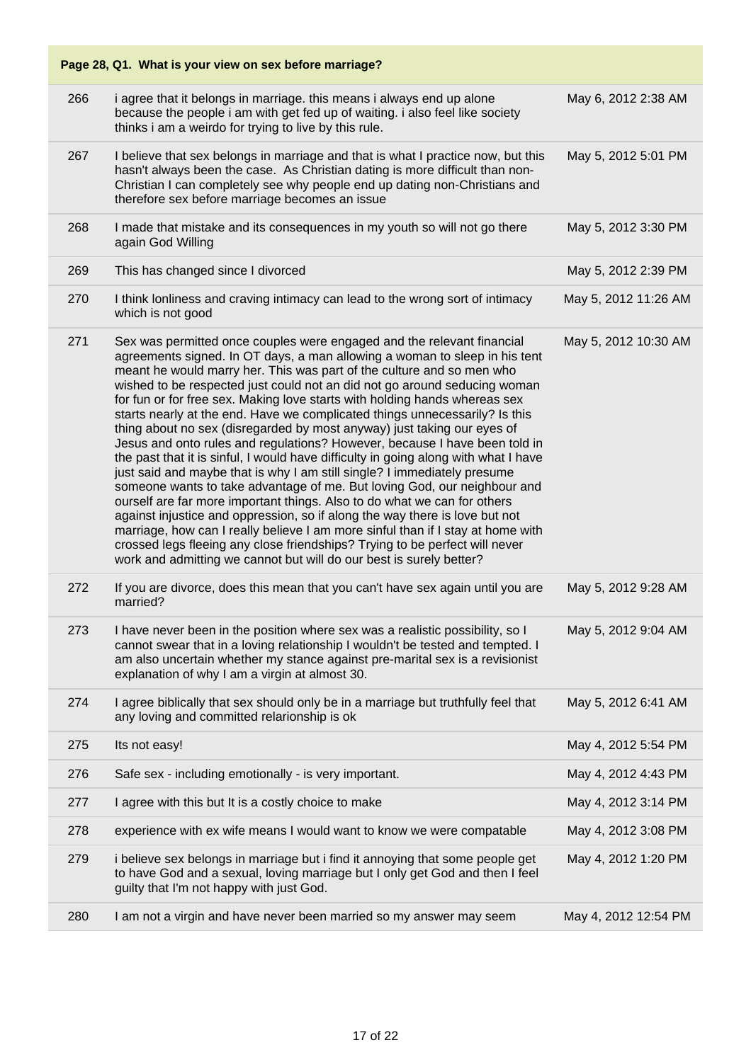| Page 28, Q1. What is your view on sex before marriage? |                                                                                                                                                                                                                                                                                                                                                                                                                                                                                                                                                                                                                                                                                                                                                                                                                                                                                                                                                                                                                                                                                                                                                                                                                                                                                     |                      |  |
|--------------------------------------------------------|-------------------------------------------------------------------------------------------------------------------------------------------------------------------------------------------------------------------------------------------------------------------------------------------------------------------------------------------------------------------------------------------------------------------------------------------------------------------------------------------------------------------------------------------------------------------------------------------------------------------------------------------------------------------------------------------------------------------------------------------------------------------------------------------------------------------------------------------------------------------------------------------------------------------------------------------------------------------------------------------------------------------------------------------------------------------------------------------------------------------------------------------------------------------------------------------------------------------------------------------------------------------------------------|----------------------|--|
| 266                                                    | i agree that it belongs in marriage. this means i always end up alone<br>because the people i am with get fed up of waiting. i also feel like society<br>thinks i am a weirdo for trying to live by this rule.                                                                                                                                                                                                                                                                                                                                                                                                                                                                                                                                                                                                                                                                                                                                                                                                                                                                                                                                                                                                                                                                      | May 6, 2012 2:38 AM  |  |
| 267                                                    | I believe that sex belongs in marriage and that is what I practice now, but this<br>hasn't always been the case. As Christian dating is more difficult than non-<br>Christian I can completely see why people end up dating non-Christians and<br>therefore sex before marriage becomes an issue                                                                                                                                                                                                                                                                                                                                                                                                                                                                                                                                                                                                                                                                                                                                                                                                                                                                                                                                                                                    | May 5, 2012 5:01 PM  |  |
| 268                                                    | I made that mistake and its consequences in my youth so will not go there<br>again God Willing                                                                                                                                                                                                                                                                                                                                                                                                                                                                                                                                                                                                                                                                                                                                                                                                                                                                                                                                                                                                                                                                                                                                                                                      | May 5, 2012 3:30 PM  |  |
| 269                                                    | This has changed since I divorced                                                                                                                                                                                                                                                                                                                                                                                                                                                                                                                                                                                                                                                                                                                                                                                                                                                                                                                                                                                                                                                                                                                                                                                                                                                   | May 5, 2012 2:39 PM  |  |
| 270                                                    | I think lonliness and craving intimacy can lead to the wrong sort of intimacy<br>which is not good                                                                                                                                                                                                                                                                                                                                                                                                                                                                                                                                                                                                                                                                                                                                                                                                                                                                                                                                                                                                                                                                                                                                                                                  | May 5, 2012 11:26 AM |  |
| 271                                                    | Sex was permitted once couples were engaged and the relevant financial<br>agreements signed. In OT days, a man allowing a woman to sleep in his tent<br>meant he would marry her. This was part of the culture and so men who<br>wished to be respected just could not an did not go around seducing woman<br>for fun or for free sex. Making love starts with holding hands whereas sex<br>starts nearly at the end. Have we complicated things unnecessarily? Is this<br>thing about no sex (disregarded by most anyway) just taking our eyes of<br>Jesus and onto rules and regulations? However, because I have been told in<br>the past that it is sinful, I would have difficulty in going along with what I have<br>just said and maybe that is why I am still single? I immediately presume<br>someone wants to take advantage of me. But loving God, our neighbour and<br>ourself are far more important things. Also to do what we can for others<br>against injustice and oppression, so if along the way there is love but not<br>marriage, how can I really believe I am more sinful than if I stay at home with<br>crossed legs fleeing any close friendships? Trying to be perfect will never<br>work and admitting we cannot but will do our best is surely better? | May 5, 2012 10:30 AM |  |
| 272                                                    | If you are divorce, does this mean that you can't have sex again until you are<br>married?                                                                                                                                                                                                                                                                                                                                                                                                                                                                                                                                                                                                                                                                                                                                                                                                                                                                                                                                                                                                                                                                                                                                                                                          | May 5, 2012 9:28 AM  |  |
| 273                                                    | I have never been in the position where sex was a realistic possibility, so I<br>cannot swear that in a loving relationship I wouldn't be tested and tempted. I<br>am also uncertain whether my stance against pre-marital sex is a revisionist<br>explanation of why I am a virgin at almost 30.                                                                                                                                                                                                                                                                                                                                                                                                                                                                                                                                                                                                                                                                                                                                                                                                                                                                                                                                                                                   | May 5, 2012 9:04 AM  |  |
| 274                                                    | I agree biblically that sex should only be in a marriage but truthfully feel that<br>any loving and committed relarionship is ok                                                                                                                                                                                                                                                                                                                                                                                                                                                                                                                                                                                                                                                                                                                                                                                                                                                                                                                                                                                                                                                                                                                                                    | May 5, 2012 6:41 AM  |  |
| 275                                                    | Its not easy!                                                                                                                                                                                                                                                                                                                                                                                                                                                                                                                                                                                                                                                                                                                                                                                                                                                                                                                                                                                                                                                                                                                                                                                                                                                                       | May 4, 2012 5:54 PM  |  |
| 276                                                    | Safe sex - including emotionally - is very important.                                                                                                                                                                                                                                                                                                                                                                                                                                                                                                                                                                                                                                                                                                                                                                                                                                                                                                                                                                                                                                                                                                                                                                                                                               | May 4, 2012 4:43 PM  |  |
| 277                                                    | I agree with this but It is a costly choice to make                                                                                                                                                                                                                                                                                                                                                                                                                                                                                                                                                                                                                                                                                                                                                                                                                                                                                                                                                                                                                                                                                                                                                                                                                                 | May 4, 2012 3:14 PM  |  |
| 278                                                    | experience with ex wife means I would want to know we were compatable                                                                                                                                                                                                                                                                                                                                                                                                                                                                                                                                                                                                                                                                                                                                                                                                                                                                                                                                                                                                                                                                                                                                                                                                               | May 4, 2012 3:08 PM  |  |
| 279                                                    | i believe sex belongs in marriage but i find it annoying that some people get<br>to have God and a sexual, loving marriage but I only get God and then I feel<br>guilty that I'm not happy with just God.                                                                                                                                                                                                                                                                                                                                                                                                                                                                                                                                                                                                                                                                                                                                                                                                                                                                                                                                                                                                                                                                           | May 4, 2012 1:20 PM  |  |
| 280                                                    | I am not a virgin and have never been married so my answer may seem                                                                                                                                                                                                                                                                                                                                                                                                                                                                                                                                                                                                                                                                                                                                                                                                                                                                                                                                                                                                                                                                                                                                                                                                                 | May 4, 2012 12:54 PM |  |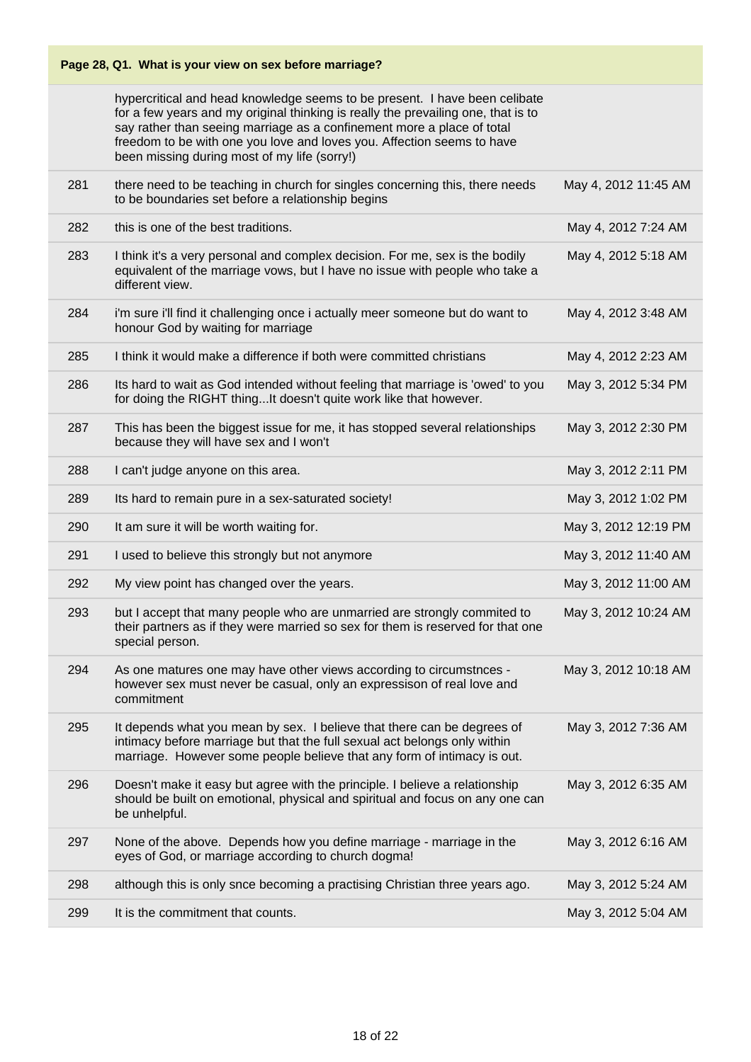|     | Page 28, Q1. What is your view on sex before marriage?                                                                                                                                                                                                                                                                                                              |                      |
|-----|---------------------------------------------------------------------------------------------------------------------------------------------------------------------------------------------------------------------------------------------------------------------------------------------------------------------------------------------------------------------|----------------------|
|     | hypercritical and head knowledge seems to be present. I have been celibate<br>for a few years and my original thinking is really the prevailing one, that is to<br>say rather than seeing marriage as a confinement more a place of total<br>freedom to be with one you love and loves you. Affection seems to have<br>been missing during most of my life (sorry!) |                      |
| 281 | there need to be teaching in church for singles concerning this, there needs<br>to be boundaries set before a relationship begins                                                                                                                                                                                                                                   | May 4, 2012 11:45 AM |
| 282 | this is one of the best traditions.                                                                                                                                                                                                                                                                                                                                 | May 4, 2012 7:24 AM  |
| 283 | I think it's a very personal and complex decision. For me, sex is the bodily<br>equivalent of the marriage vows, but I have no issue with people who take a<br>different view.                                                                                                                                                                                      | May 4, 2012 5:18 AM  |
| 284 | i'm sure i'll find it challenging once i actually meer someone but do want to<br>honour God by waiting for marriage                                                                                                                                                                                                                                                 | May 4, 2012 3:48 AM  |
| 285 | I think it would make a difference if both were committed christians                                                                                                                                                                                                                                                                                                | May 4, 2012 2:23 AM  |
| 286 | Its hard to wait as God intended without feeling that marriage is 'owed' to you<br>for doing the RIGHT thingIt doesn't quite work like that however.                                                                                                                                                                                                                | May 3, 2012 5:34 PM  |
| 287 | This has been the biggest issue for me, it has stopped several relationships<br>because they will have sex and I won't                                                                                                                                                                                                                                              | May 3, 2012 2:30 PM  |
| 288 | I can't judge anyone on this area.                                                                                                                                                                                                                                                                                                                                  | May 3, 2012 2:11 PM  |
| 289 | Its hard to remain pure in a sex-saturated society!                                                                                                                                                                                                                                                                                                                 | May 3, 2012 1:02 PM  |
| 290 | It am sure it will be worth waiting for.                                                                                                                                                                                                                                                                                                                            |                      |
|     |                                                                                                                                                                                                                                                                                                                                                                     | May 3, 2012 12:19 PM |
| 291 | I used to believe this strongly but not anymore                                                                                                                                                                                                                                                                                                                     | May 3, 2012 11:40 AM |
| 292 | My view point has changed over the years.                                                                                                                                                                                                                                                                                                                           | May 3, 2012 11:00 AM |
| 293 | but I accept that many people who are unmarried are strongly commited to<br>their partners as if they were married so sex for them is reserved for that one<br>special person.                                                                                                                                                                                      | May 3, 2012 10:24 AM |
| 294 | As one matures one may have other views according to circumstnces -<br>however sex must never be casual, only an expressison of real love and<br>commitment                                                                                                                                                                                                         | May 3, 2012 10:18 AM |
| 295 | It depends what you mean by sex. I believe that there can be degrees of<br>intimacy before marriage but that the full sexual act belongs only within<br>marriage. However some people believe that any form of intimacy is out.                                                                                                                                     | May 3, 2012 7:36 AM  |
| 296 | Doesn't make it easy but agree with the principle. I believe a relationship<br>should be built on emotional, physical and spiritual and focus on any one can<br>be unhelpful.                                                                                                                                                                                       | May 3, 2012 6:35 AM  |
| 297 | None of the above. Depends how you define marriage - marriage in the<br>eyes of God, or marriage according to church dogma!                                                                                                                                                                                                                                         | May 3, 2012 6:16 AM  |
| 298 | although this is only snce becoming a practising Christian three years ago.                                                                                                                                                                                                                                                                                         | May 3, 2012 5:24 AM  |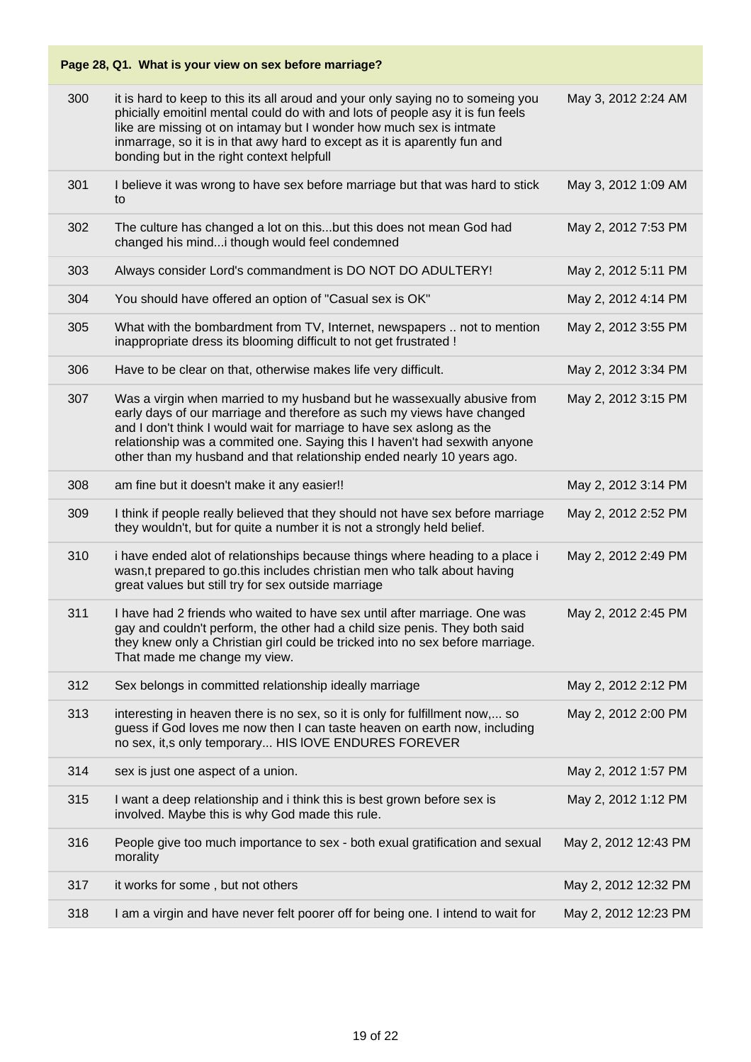|     | Page 28, Q1. What is your view on sex before marriage?                                                                                                                                                                                                                                                                                                                            |                      |
|-----|-----------------------------------------------------------------------------------------------------------------------------------------------------------------------------------------------------------------------------------------------------------------------------------------------------------------------------------------------------------------------------------|----------------------|
| 300 | it is hard to keep to this its all aroud and your only saying no to someing you<br>phicially emoitinl mental could do with and lots of people asy it is fun feels<br>like are missing ot on intamay but I wonder how much sex is intmate<br>inmarrage, so it is in that awy hard to except as it is aparently fun and<br>bonding but in the right context helpfull                | May 3, 2012 2:24 AM  |
| 301 | I believe it was wrong to have sex before marriage but that was hard to stick<br>to                                                                                                                                                                                                                                                                                               | May 3, 2012 1:09 AM  |
| 302 | The culture has changed a lot on thisbut this does not mean God had<br>changed his mind i though would feel condemned                                                                                                                                                                                                                                                             | May 2, 2012 7:53 PM  |
| 303 | Always consider Lord's commandment is DO NOT DO ADULTERY!                                                                                                                                                                                                                                                                                                                         | May 2, 2012 5:11 PM  |
| 304 | You should have offered an option of "Casual sex is OK"                                                                                                                                                                                                                                                                                                                           | May 2, 2012 4:14 PM  |
| 305 | What with the bombardment from TV, Internet, newspapers  not to mention<br>inappropriate dress its blooming difficult to not get frustrated !                                                                                                                                                                                                                                     | May 2, 2012 3:55 PM  |
| 306 | Have to be clear on that, otherwise makes life very difficult.                                                                                                                                                                                                                                                                                                                    | May 2, 2012 3:34 PM  |
| 307 | Was a virgin when married to my husband but he wassexually abusive from<br>early days of our marriage and therefore as such my views have changed<br>and I don't think I would wait for marriage to have sex aslong as the<br>relationship was a commited one. Saying this I haven't had sexwith anyone<br>other than my husband and that relationship ended nearly 10 years ago. | May 2, 2012 3:15 PM  |
| 308 | am fine but it doesn't make it any easier!!                                                                                                                                                                                                                                                                                                                                       | May 2, 2012 3:14 PM  |
| 309 | I think if people really believed that they should not have sex before marriage<br>they wouldn't, but for quite a number it is not a strongly held belief.                                                                                                                                                                                                                        | May 2, 2012 2:52 PM  |
| 310 | i have ended alot of relationships because things where heading to a place i<br>wasn,t prepared to go.this includes christian men who talk about having<br>great values but still try for sex outside marriage                                                                                                                                                                    | May 2, 2012 2:49 PM  |
| 311 | I have had 2 friends who waited to have sex until after marriage. One was<br>gay and couldn't perform, the other had a child size penis. They both said<br>they knew only a Christian girl could be tricked into no sex before marriage.<br>That made me change my view.                                                                                                          | May 2, 2012 2:45 PM  |
| 312 | Sex belongs in committed relationship ideally marriage                                                                                                                                                                                                                                                                                                                            | May 2, 2012 2:12 PM  |
| 313 | interesting in heaven there is no sex, so it is only for fulfillment now, so<br>guess if God loves me now then I can taste heaven on earth now, including<br>no sex, it,s only temporary HIS IOVE ENDURES FOREVER                                                                                                                                                                 | May 2, 2012 2:00 PM  |
| 314 | sex is just one aspect of a union.                                                                                                                                                                                                                                                                                                                                                | May 2, 2012 1:57 PM  |
| 315 | I want a deep relationship and i think this is best grown before sex is<br>involved. Maybe this is why God made this rule.                                                                                                                                                                                                                                                        | May 2, 2012 1:12 PM  |
| 316 | People give too much importance to sex - both exual gratification and sexual<br>morality                                                                                                                                                                                                                                                                                          | May 2, 2012 12:43 PM |
| 317 | it works for some, but not others                                                                                                                                                                                                                                                                                                                                                 | May 2, 2012 12:32 PM |
| 318 | I am a virgin and have never felt poorer off for being one. I intend to wait for                                                                                                                                                                                                                                                                                                  | May 2, 2012 12:23 PM |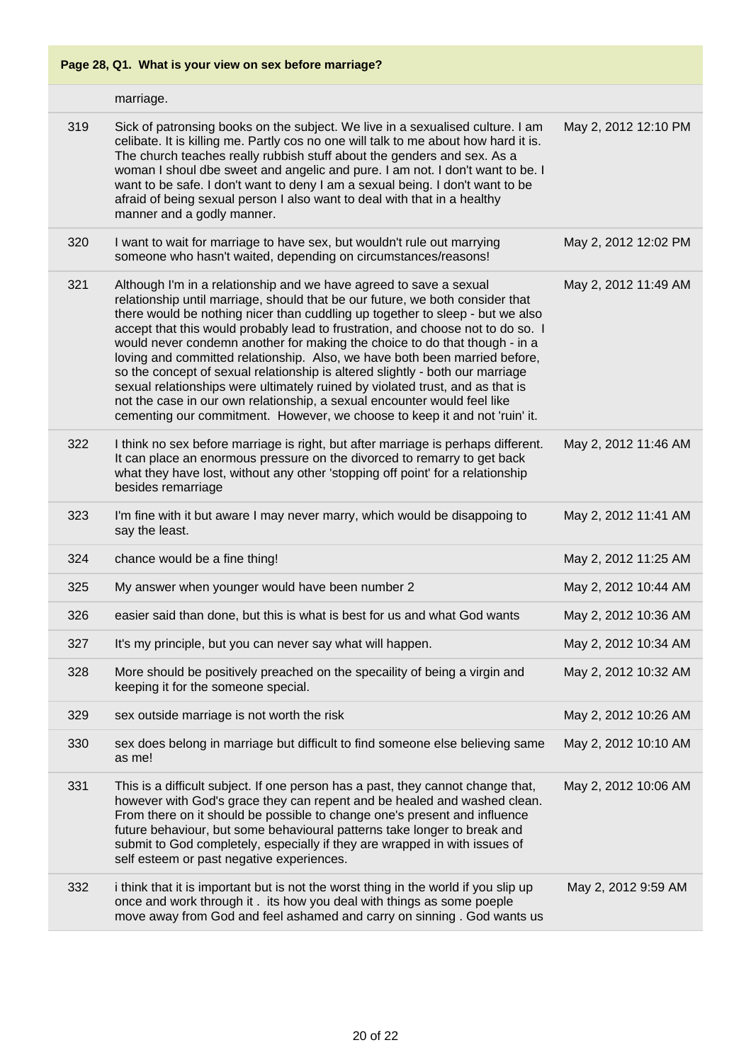|     | marriage.                                                                                                                                                                                                                                                                                                                                                                                                                                                                                                                                                                                                                                                                                                                                                                                                       |                      |
|-----|-----------------------------------------------------------------------------------------------------------------------------------------------------------------------------------------------------------------------------------------------------------------------------------------------------------------------------------------------------------------------------------------------------------------------------------------------------------------------------------------------------------------------------------------------------------------------------------------------------------------------------------------------------------------------------------------------------------------------------------------------------------------------------------------------------------------|----------------------|
| 319 | Sick of patronsing books on the subject. We live in a sexualised culture. I am<br>celibate. It is killing me. Partly cos no one will talk to me about how hard it is.<br>The church teaches really rubbish stuff about the genders and sex. As a<br>woman I shoul dbe sweet and angelic and pure. I am not. I don't want to be. I<br>want to be safe. I don't want to deny I am a sexual being. I don't want to be<br>afraid of being sexual person I also want to deal with that in a healthy<br>manner and a godly manner.                                                                                                                                                                                                                                                                                    | May 2, 2012 12:10 PM |
| 320 | I want to wait for marriage to have sex, but wouldn't rule out marrying<br>someone who hasn't waited, depending on circumstances/reasons!                                                                                                                                                                                                                                                                                                                                                                                                                                                                                                                                                                                                                                                                       | May 2, 2012 12:02 PM |
| 321 | Although I'm in a relationship and we have agreed to save a sexual<br>relationship until marriage, should that be our future, we both consider that<br>there would be nothing nicer than cuddling up together to sleep - but we also<br>accept that this would probably lead to frustration, and choose not to do so. I<br>would never condemn another for making the choice to do that though - in a<br>loving and committed relationship. Also, we have both been married before,<br>so the concept of sexual relationship is altered slightly - both our marriage<br>sexual relationships were ultimately ruined by violated trust, and as that is<br>not the case in our own relationship, a sexual encounter would feel like<br>cementing our commitment. However, we choose to keep it and not 'ruin' it. | May 2, 2012 11:49 AM |
| 322 | I think no sex before marriage is right, but after marriage is perhaps different.<br>It can place an enormous pressure on the divorced to remarry to get back<br>what they have lost, without any other 'stopping off point' for a relationship<br>besides remarriage                                                                                                                                                                                                                                                                                                                                                                                                                                                                                                                                           | May 2, 2012 11:46 AM |
| 323 | I'm fine with it but aware I may never marry, which would be disappoing to<br>say the least.                                                                                                                                                                                                                                                                                                                                                                                                                                                                                                                                                                                                                                                                                                                    | May 2, 2012 11:41 AM |
| 324 | chance would be a fine thing!                                                                                                                                                                                                                                                                                                                                                                                                                                                                                                                                                                                                                                                                                                                                                                                   | May 2, 2012 11:25 AM |
| 325 | My answer when younger would have been number 2                                                                                                                                                                                                                                                                                                                                                                                                                                                                                                                                                                                                                                                                                                                                                                 | May 2, 2012 10:44 AM |
| 326 | easier said than done, but this is what is best for us and what God wants                                                                                                                                                                                                                                                                                                                                                                                                                                                                                                                                                                                                                                                                                                                                       | May 2, 2012 10:36 AM |
| 327 | It's my principle, but you can never say what will happen.                                                                                                                                                                                                                                                                                                                                                                                                                                                                                                                                                                                                                                                                                                                                                      | May 2, 2012 10:34 AM |
| 328 | More should be positively preached on the specaility of being a virgin and<br>keeping it for the someone special.                                                                                                                                                                                                                                                                                                                                                                                                                                                                                                                                                                                                                                                                                               | May 2, 2012 10:32 AM |
| 329 | sex outside marriage is not worth the risk                                                                                                                                                                                                                                                                                                                                                                                                                                                                                                                                                                                                                                                                                                                                                                      | May 2, 2012 10:26 AM |
| 330 | sex does belong in marriage but difficult to find someone else believing same<br>as me!                                                                                                                                                                                                                                                                                                                                                                                                                                                                                                                                                                                                                                                                                                                         | May 2, 2012 10:10 AM |
| 331 | This is a difficult subject. If one person has a past, they cannot change that,<br>however with God's grace they can repent and be healed and washed clean.<br>From there on it should be possible to change one's present and influence<br>future behaviour, but some behavioural patterns take longer to break and<br>submit to God completely, especially if they are wrapped in with issues of<br>self esteem or past negative experiences.                                                                                                                                                                                                                                                                                                                                                                 | May 2, 2012 10:06 AM |
| 332 | i think that it is important but is not the worst thing in the world if you slip up<br>once and work through it. its how you deal with things as some poeple<br>move away from God and feel ashamed and carry on sinning . God wants us                                                                                                                                                                                                                                                                                                                                                                                                                                                                                                                                                                         | May 2, 2012 9:59 AM  |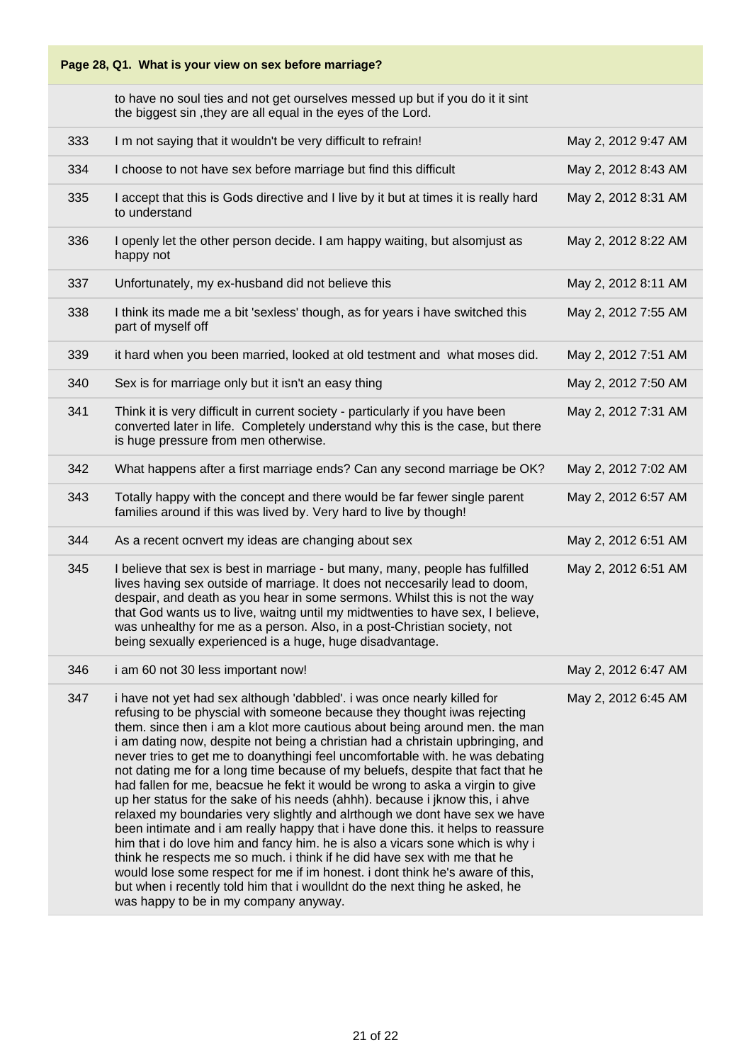to have no soul ties and not get ourselves messed up but if you do it it sint the biggest sin ,they are all equal in the eyes of the Lord.

| 333 | I m not saying that it wouldn't be very difficult to refrain!                                                                                                                                                                                                                                                                                                                                                                                                                                                                                                                                                                                                                                                                                                                                                                                                                                                                                                                                                                                                                                                                                                                                  | May 2, 2012 9:47 AM |
|-----|------------------------------------------------------------------------------------------------------------------------------------------------------------------------------------------------------------------------------------------------------------------------------------------------------------------------------------------------------------------------------------------------------------------------------------------------------------------------------------------------------------------------------------------------------------------------------------------------------------------------------------------------------------------------------------------------------------------------------------------------------------------------------------------------------------------------------------------------------------------------------------------------------------------------------------------------------------------------------------------------------------------------------------------------------------------------------------------------------------------------------------------------------------------------------------------------|---------------------|
| 334 | I choose to not have sex before marriage but find this difficult                                                                                                                                                                                                                                                                                                                                                                                                                                                                                                                                                                                                                                                                                                                                                                                                                                                                                                                                                                                                                                                                                                                               | May 2, 2012 8:43 AM |
| 335 | I accept that this is Gods directive and I live by it but at times it is really hard<br>to understand                                                                                                                                                                                                                                                                                                                                                                                                                                                                                                                                                                                                                                                                                                                                                                                                                                                                                                                                                                                                                                                                                          | May 2, 2012 8:31 AM |
| 336 | I openly let the other person decide. I am happy waiting, but alsomjust as<br>happy not                                                                                                                                                                                                                                                                                                                                                                                                                                                                                                                                                                                                                                                                                                                                                                                                                                                                                                                                                                                                                                                                                                        | May 2, 2012 8:22 AM |
| 337 | Unfortunately, my ex-husband did not believe this                                                                                                                                                                                                                                                                                                                                                                                                                                                                                                                                                                                                                                                                                                                                                                                                                                                                                                                                                                                                                                                                                                                                              | May 2, 2012 8:11 AM |
| 338 | I think its made me a bit 'sexless' though, as for years i have switched this<br>part of myself off                                                                                                                                                                                                                                                                                                                                                                                                                                                                                                                                                                                                                                                                                                                                                                                                                                                                                                                                                                                                                                                                                            | May 2, 2012 7:55 AM |
| 339 | it hard when you been married, looked at old testment and what moses did.                                                                                                                                                                                                                                                                                                                                                                                                                                                                                                                                                                                                                                                                                                                                                                                                                                                                                                                                                                                                                                                                                                                      | May 2, 2012 7:51 AM |
| 340 | Sex is for marriage only but it isn't an easy thing                                                                                                                                                                                                                                                                                                                                                                                                                                                                                                                                                                                                                                                                                                                                                                                                                                                                                                                                                                                                                                                                                                                                            | May 2, 2012 7:50 AM |
| 341 | Think it is very difficult in current society - particularly if you have been<br>converted later in life. Completely understand why this is the case, but there<br>is huge pressure from men otherwise.                                                                                                                                                                                                                                                                                                                                                                                                                                                                                                                                                                                                                                                                                                                                                                                                                                                                                                                                                                                        | May 2, 2012 7:31 AM |
| 342 | What happens after a first marriage ends? Can any second marriage be OK?                                                                                                                                                                                                                                                                                                                                                                                                                                                                                                                                                                                                                                                                                                                                                                                                                                                                                                                                                                                                                                                                                                                       | May 2, 2012 7:02 AM |
| 343 | Totally happy with the concept and there would be far fewer single parent<br>families around if this was lived by. Very hard to live by though!                                                                                                                                                                                                                                                                                                                                                                                                                                                                                                                                                                                                                                                                                                                                                                                                                                                                                                                                                                                                                                                | May 2, 2012 6:57 AM |
| 344 | As a recent ocnvert my ideas are changing about sex                                                                                                                                                                                                                                                                                                                                                                                                                                                                                                                                                                                                                                                                                                                                                                                                                                                                                                                                                                                                                                                                                                                                            | May 2, 2012 6:51 AM |
| 345 | I believe that sex is best in marriage - but many, many, people has fulfilled<br>lives having sex outside of marriage. It does not neccesarily lead to doom,<br>despair, and death as you hear in some sermons. Whilst this is not the way<br>that God wants us to live, waitng until my midtwenties to have sex, I believe,<br>was unhealthy for me as a person. Also, in a post-Christian society, not<br>being sexually experienced is a huge, huge disadvantage.                                                                                                                                                                                                                                                                                                                                                                                                                                                                                                                                                                                                                                                                                                                           | May 2, 2012 6:51 AM |
| 346 | i am 60 not 30 less important now!                                                                                                                                                                                                                                                                                                                                                                                                                                                                                                                                                                                                                                                                                                                                                                                                                                                                                                                                                                                                                                                                                                                                                             | May 2, 2012 6:47 AM |
| 347 | i have not yet had sex although 'dabbled'. i was once nearly killed for<br>refusing to be physcial with someone because they thought iwas rejecting<br>them, since then i am a klot more cautious about being around men, the man<br>i am dating now, despite not being a christian had a christain upbringing, and<br>never tries to get me to doanythingi feel uncomfortable with. he was debating<br>not dating me for a long time because of my beluefs, despite that fact that he<br>had fallen for me, beacsue he fekt it would be wrong to aska a virgin to give<br>up her status for the sake of his needs (ahhh). because i jknow this, i ahve<br>relaxed my boundaries very slightly and alrthough we dont have sex we have<br>been intimate and i am really happy that i have done this. it helps to reassure<br>him that i do love him and fancy him. he is also a vicars sone which is why i<br>think he respects me so much. i think if he did have sex with me that he<br>would lose some respect for me if im honest. i dont think he's aware of this,<br>but when i recently told him that i woulldnt do the next thing he asked, he<br>was happy to be in my company anyway. | May 2, 2012 6:45 AM |